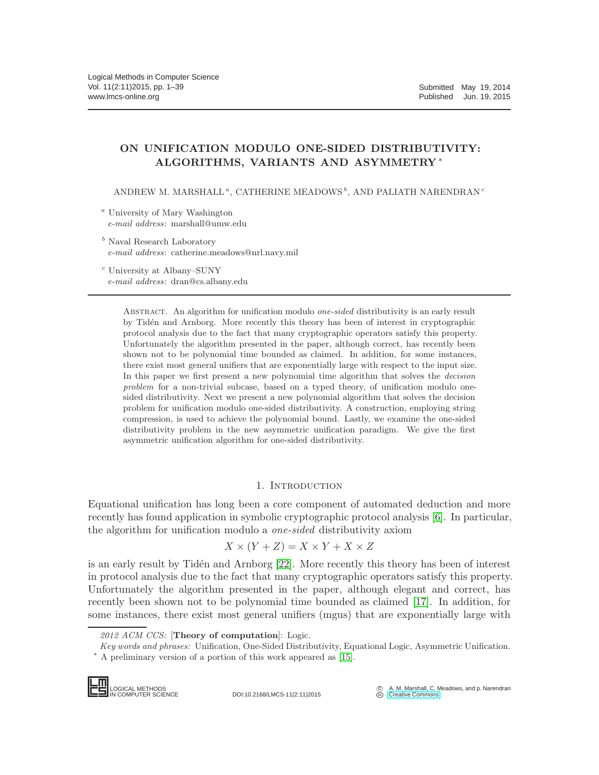# ON UNIFICATION MODULO ONE-SIDED DISTRIBUTIVITY: ALGORITHMS, VARIANTS AND ASYMMETRY <sup>∗</sup>

ANDREW M. MARSHALL<sup>a</sup>, CATHERINE MEADOWS<sup>b</sup>, AND PALIATH NARENDRAN<sup>c</sup>

<sup>a</sup> University of Mary Washington *e-mail address*: marshall@umw.edu

<sup>b</sup> Naval Research Laboratory *e-mail address*: catherine.meadows@nrl.navy.mil

<sup>c</sup> University at Albany–SUNY *e-mail address*: dran@cs.albany.edu

> Abstract. An algorithm for unification modulo *one-sided* distributivity is an early result by Tidén and Arnborg. More recently this theory has been of interest in cryptographic protocol analysis due to the fact that many cryptographic operators satisfy this property. Unfortunately the algorithm presented in the paper, although correct, has recently been shown not to be polynomial time bounded as claimed. In addition, for some instances, there exist most general unifiers that are exponentially large with respect to the input size. In this paper we first present a new polynomial time algorithm that solves the *decision problem* for a non-trivial subcase, based on a typed theory, of unification modulo onesided distributivity. Next we present a new polynomial algorithm that solves the decision problem for unification modulo one-sided distributivity. A construction, employing string compression, is used to achieve the polynomial bound. Lastly, we examine the one-sided distributivity problem in the new asymmetric unification paradigm. We give the first asymmetric unification algorithm for one-sided distributivity.

# 1. INTRODUCTION

Equational unification has long been a core component of automated deduction and more recently has found application in symbolic cryptographic protocol analysis [\[6\]](#page-37-0). In particular, the algorithm for unification modulo a one-sided distributivity axiom

$$
X \times (Y + Z) = X \times Y + X \times Z
$$

is an early result by Tidén and Arnborg  $[22]$ . More recently this theory has been of interest in protocol analysis due to the fact that many cryptographic operators satisfy this property. Unfortunately the algorithm presented in the paper, although elegant and correct, has recently been shown not to be polynomial time bounded as claimed [\[17\]](#page-37-1). In addition, for some instances, there exist most general unifiers (mgus) that are exponentially large with

*2012 ACM CCS:* [Theory of computation]: Logic.

*Key words and phrases:* Unification, One-Sided Distributivity, Equational Logic, Asymmetric Unification. <sup>∗</sup> A preliminary version of a portion of this work appeared as [\[15\]](#page-37-2).

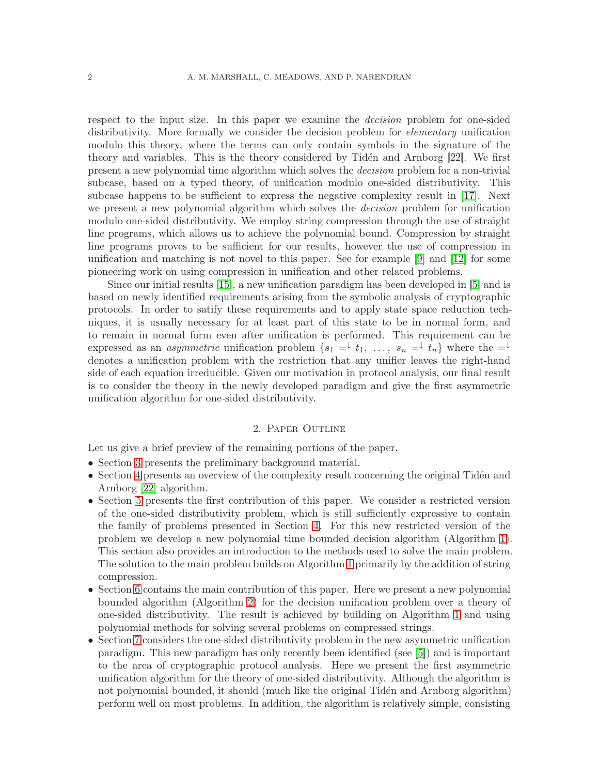respect to the input size. In this paper we examine the decision problem for one-sided distributivity. More formally we consider the decision problem for *elementary* unification modulo this theory, where the terms can only contain symbols in the signature of the theory and variables. This is the theory considered by Tidén and Arnborg [\[22\]](#page-38-0). We first present a new polynomial time algorithm which solves the decision problem for a non-trivial subcase, based on a typed theory, of unification modulo one-sided distributivity. This subcase happens to be sufficient to express the negative complexity result in [\[17\]](#page-37-1). Next we present a new polynomial algorithm which solves the *decision* problem for unification modulo one-sided distributivity. We employ string compression through the use of straight line programs, which allows us to achieve the polynomial bound. Compression by straight line programs proves to be sufficient for our results, however the use of compression in unification and matching is not novel to this paper. See for example [\[9\]](#page-37-3) and [\[12\]](#page-37-4) for some pioneering work on using compression in unification and other related problems.

Since our initial results [\[15\]](#page-37-2), a new unification paradigm has been developed in [\[5\]](#page-37-5) and is based on newly identified requirements arising from the symbolic analysis of cryptographic protocols. In order to satify these requirements and to apply state space reduction techniques, it is usually necessary for at least part of this state to be in normal form, and to remain in normal form even after unification is performed. This requirement can be expressed as an *asymmetric* unification problem  $\{s_1 = \downarrow t_1, \ldots, s_n = \downarrow t_n\}$  where the  $= \downarrow$ denotes a unification problem with the restriction that any unifier leaves the right-hand side of each equation irreducible. Given our motivation in protocol analysis, our final result is to consider the theory in the newly developed paradigm and give the first asymmetric unification algorithm for one-sided distributivity.

#### 2. Paper Outline

Let us give a brief preview of the remaining portions of the paper.

- Section [3](#page-2-0) presents the preliminary background material.
- Section [4](#page-3-0) presents an overview of the complexity result concerning the original Tidén and Arnborg [\[22\]](#page-38-0) algorithm.
- Section [5](#page-7-0) presents the first contribution of this paper. We consider a restricted version of the one-sided distributivity problem, which is still sufficiently expressive to contain the family of problems presented in Section [4.](#page-3-0) For this new restricted version of the problem we develop a new polynomial time bounded decision algorithm (Algorithm [1\)](#page-11-0). This section also provides an introduction to the methods used to solve the main problem. The solution to the main problem builds on Algorithm [1](#page-11-0) primarily by the addition of string compression.
- Section [6](#page-13-0) contains the main contribution of this paper. Here we present a new polynomial bounded algorithm (Algorithm [2\)](#page-20-0) for the decision unification problem over a theory of one-sided distributivity. The result is achieved by building on Algorithm [1](#page-11-0) and using polynomial methods for solving several problems on compressed strings.
- Section [7](#page-31-0) considers the one-sided distributivity problem in the new asymmetric unification paradigm. This new paradigm has only recently been identified (see [\[5\]](#page-37-5)) and is important to the area of cryptographic protocol analysis. Here we present the first asymmetric unification algorithm for the theory of one-sided distributivity. Although the algorithm is not polynomial bounded, it should (much like the original Tidén and Arnborg algorithm) perform well on most problems. In addition, the algorithm is relatively simple, consisting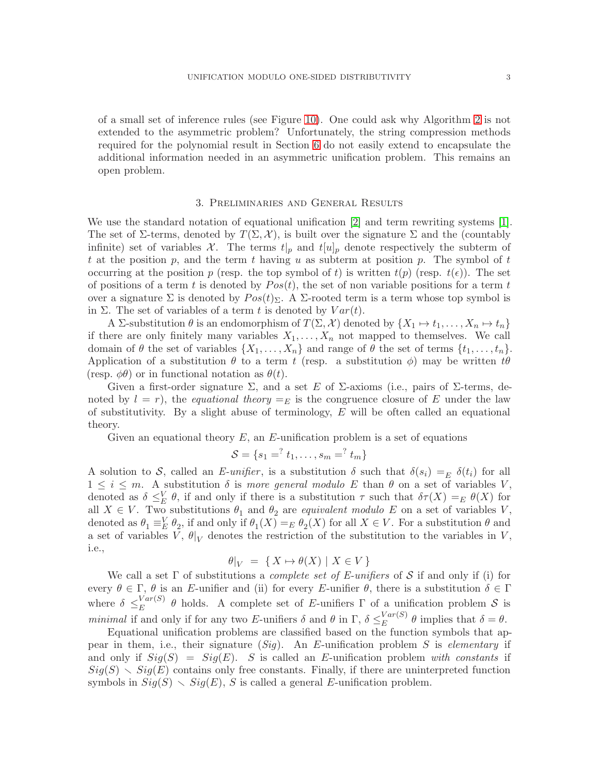of a small set of inference rules (see Figure [10\)](#page-33-0). One could ask why Algorithm [2](#page-20-0) is not extended to the asymmetric problem? Unfortunately, the string compression methods required for the polynomial result in Section [6](#page-13-0) do not easily extend to encapsulate the additional information needed in an asymmetric unification problem. This remains an open problem.

## 3. Preliminaries and General Results

<span id="page-2-0"></span>We use the standard notation of equational unification [\[2\]](#page-37-6) and term rewriting systems [\[1\]](#page-37-7). The set of  $\Sigma$ -terms, denoted by  $T(\Sigma, \mathcal{X})$ , is built over the signature  $\Sigma$  and the (countably infinite) set of variables X. The terms  $t|_p$  and  $t[u]_p$  denote respectively the subterm of t at the position p, and the term t having u as subterm at position p. The symbol of t occurring at the position p (resp. the top symbol of t) is written  $t(p)$  (resp.  $t(\epsilon)$ ). The set of positions of a term t is denoted by  $Pos(t)$ , the set of non variable positions for a term t over a signature Σ is denoted by  $Pos(t)_{\Sigma}$ . A Σ-rooted term is a term whose top symbol is in  $\Sigma$ . The set of variables of a term t is denoted by  $Var(t)$ .

A Σ-substitution  $\theta$  is an endomorphism of  $T(\Sigma, \mathcal{X})$  denoted by  $\{X_1 \mapsto t_1, \dots, X_n \mapsto t_n\}$ if there are only finitely many variables  $X_1, \ldots, X_n$  not mapped to themselves. We call domain of  $\theta$  the set of variables  $\{X_1, \ldots, X_n\}$  and range of  $\theta$  the set of terms  $\{t_1, \ldots, t_n\}$ . Application of a substitution  $\theta$  to a term t (resp. a substitution  $\phi$ ) may be written t $\theta$ (resp.  $\phi\theta$ ) or in functional notation as  $\theta(t)$ .

Given a first-order signature  $\Sigma$ , and a set E of  $\Sigma$ -axioms (i.e., pairs of  $\Sigma$ -terms, denoted by  $l = r$ , the *equational theory*  $=$ <sub>E</sub> is the congruence closure of E under the law of substitutivity. By a slight abuse of terminology,  $E$  will be often called an equational theory.

Given an equational theory  $E$ , an  $E$ -unification problem is a set of equations

$$
S = \{s_1 = 1, \ldots, s_m = 1, \ldots\}
$$

A solution to S, called an E-unifier, is a substitution  $\delta$  such that  $\delta(s_i) =_E \delta(t_i)$  for all  $1 \leq i \leq m$ . A substitution  $\delta$  is more general modulo E than  $\theta$  on a set of variables V, denoted as  $\delta \leq_E^V \theta$ , if and only if there is a substitution  $\tau$  such that  $\delta\tau(X) =_E \theta(X)$  for all  $X \in V$ . Two substitutions  $\theta_1$  and  $\theta_2$  are equivalent modulo E on a set of variables V, denoted as  $\theta_1 \equiv^V_E \theta_2$ , if and only if  $\theta_1(X) =_E \theta_2(X)$  for all  $X \in V$ . For a substitution  $\theta$  and a set of variables V,  $\theta|_V$  denotes the restriction of the substitution to the variables in V, i.e.,

$$
\theta|_V = \{ X \mapsto \theta(X) \mid X \in V \}
$$

We call a set  $\Gamma$  of substitutions a *complete set of E-unifiers* of S if and only if (i) for every  $\theta \in \Gamma$ ,  $\theta$  is an E-unifier and (ii) for every E-unifier  $\theta$ , there is a substitution  $\delta \in \Gamma$ where  $\delta \leq_E^{Var(S)}$  $E^{Var(S)}$  θ holds. A complete set of E-unifiers  $\Gamma$  of a unification problem S is minimal if and only if for any two E-unifiers  $\delta$  and  $\theta$  in  $\Gamma$ ,  $\delta \leq_E^{Var(S)}$  $E^{Var(S)}$   $\theta$  implies that  $\delta = \theta$ .

Equational unification problems are classified based on the function symbols that appear in them, i.e., their signature  $(Sig)$ . An E-unification problem S is *elementary* if and only if  $Sig(S) = Sig(E)$ . S is called an E-unification problem with constants if  $Sig(S) \setminus Sig(E)$  contains only free constants. Finally, if there are uninterpreted function symbols in  $Sig(S) \setminus Sig(E)$ , S is called a general E-unification problem.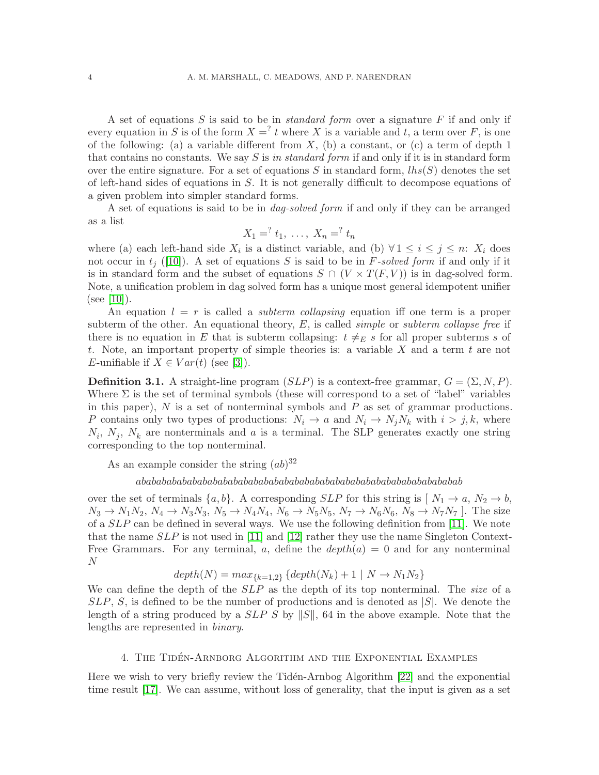A set of equations  $S$  is said to be in *standard form* over a signature  $F$  if and only if every equation in S is of the form  $X = \nvert^2 t$  where X is a variable and t, a term over F, is one of the following: (a) a variable different from  $X$ , (b) a constant, or (c) a term of depth 1 that contains no constants. We say  $S$  is in standard form if and only if it is in standard form over the entire signature. For a set of equations S in standard form,  $\text{ln}(S)$  denotes the set of left-hand sides of equations in S. It is not generally difficult to decompose equations of a given problem into simpler standard forms.

A set of equations is said to be in dag-solved form if and only if they can be arranged as a list

$$
X_1 = \n \begin{cases} \n t_1, \ldots, \ X_n = \n \end{cases} \n t_n
$$

where (a) each left-hand side  $X_i$  is a distinct variable, and (b)  $\forall 1 \leq i \leq j \leq n$ :  $X_i$  does not occur in  $t_i$  ([\[10\]](#page-37-8)). A set of equations S is said to be in F-solved form if and only if it is in standard form and the subset of equations  $S \cap (V \times T(F, V))$  is in dag-solved form. Note, a unification problem in dag solved form has a unique most general idempotent unifier (see [\[10\]](#page-37-8)).

An equation  $l = r$  is called a *subterm collapsing* equation if one term is a proper subterm of the other. An equational theory,  $E$ , is called *simple* or *subterm collapse free* if there is no equation in E that is subterm collapsing:  $t \neq_E s$  for all proper subterms s of t. Note, an important property of simple theories is: a variable  $X$  and a term  $t$  are not E-unifiable if  $X \in Var(t)$  (see [\[3\]](#page-37-9)).

<span id="page-3-1"></span>**Definition 3.1.** A straight-line program  $(SLP)$  is a context-free grammar,  $G = (\Sigma, N, P)$ . Where  $\Sigma$  is the set of terminal symbols (these will correspond to a set of "label" variables in this paper),  $N$  is a set of nonterminal symbols and  $P$  as set of grammar productions. P contains only two types of productions:  $N_i \rightarrow a$  and  $N_i \rightarrow N_j N_k$  with  $i > j, k$ , where  $N_i$ ,  $N_j$ ,  $N_k$  are nonterminals and a is a terminal. The SLP generates exactly one string corresponding to the top nonterminal.

As an example consider the string  $(ab)^{32}$ 

## abababababababababababababababababababababababababababababababab

over the set of terminals  $\{a, b\}$ . A corresponding SLP for this string is  $[N_1 \rightarrow a, N_2 \rightarrow b,$  $N_3 \to N_1N_2$ ,  $N_4 \to N_3N_3$ ,  $N_5 \to N_4N_4$ ,  $N_6 \to N_5N_5$ ,  $N_7 \to N_6N_6$ ,  $N_8 \to N_7N_7$ . The size of a  $SLP$  can be defined in several ways. We use the following definition from [\[11\]](#page-37-10). We note that the name  $SLP$  is not used in [\[11\]](#page-37-10) and [\[12\]](#page-37-4) rather they use the name Singleton Context-Free Grammars. For any terminal, a, define the  $depth(a) = 0$  and for any nonterminal N

$$
depth(N) = max_{\{k=1,2\}} \{depth(N_k) + 1 \mid N \to N_1N_2\}
$$

We can define the depth of the SLP as the depth of its top nonterminal. The size of a  $SLP$ , S, is defined to be the number of productions and is denoted as  $|S|$ . We denote the length of a string produced by a  $SLP S$  by  $||S||$ , 64 in the above example. Note that the lengths are represented in binary.

#### 4. THE TIDÉN-ARNBORG ALGORITHM AND THE EXPONENTIAL EXAMPLES

<span id="page-3-0"></span>Here we wish to very briefly review the Tidén-Arnbog Algorithm  $[22]$  and the exponential time result [\[17\]](#page-37-1). We can assume, without loss of generality, that the input is given as a set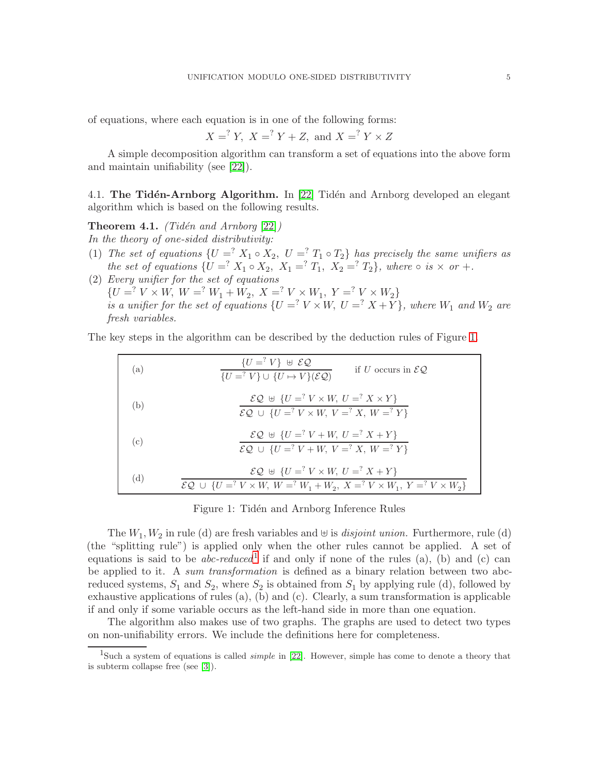of equations, where each equation is in one of the following forms:

$$
X =
$$
<sup>2</sup> Y,  $X =$ <sup>2</sup> Y + Z, and  $X =$ <sup>2</sup> Y × Z

A simple decomposition algorithm can transform a set of equations into the above form and maintain unifiability (see [\[22\]](#page-38-0)).

4.1. The Tidén-Arnborg Algorithm. In  $[22]$  Tidén and Arnborg developed an elegant algorithm which is based on the following results.

<span id="page-4-2"></span>**Theorem 4.1.** (Tidén and Arnborg  $[22]$ ) In the theory of one-sided distributivity:

- (1) The set of equations  $\{U = X_1 \circ X_2, U = Y_1 \circ T_2\}$  has precisely the same unifiers as the set of equations  $\{U = X_1 \circ X_2, X_1 = Y_1, X_2 = Y_2\}$ , where  $\circ$  is  $\times$  or  $+$ .
- (2) Every unifier for the set of equations  ${U = ? V \times W, W = ? W_1 + W_2, X = ? V \times W_1, Y = ? V \times W_2}$ is a unifier for the set of equations  $\{U = ? \mid V \times W, U = ? \mid X + Y\}$ , where  $W_1$  and  $W_2$  are fresh variables.

The key steps in the algorithm can be described by the deduction rules of Figure [1.](#page-4-0)

| (a) | $\{U = \n\} \cup \mathcal{EQ}$<br>if U occurs in $\mathcal{EQ}$ .<br>${U =^? V} \cup {U \mapsto V}(\mathcal{EQ})$                                                                                                           |
|-----|-----------------------------------------------------------------------------------------------------------------------------------------------------------------------------------------------------------------------------|
| (b) | $\mathcal{EQ} \oplus \{U = ? V \times W, U = ? X \times Y\}$<br>$\mathcal{EQ}$ $\cup$ { $U =$ <sup>2</sup> $V \times W$ , $V =$ <sup>2</sup> $X$ , $W =$ <sup>2</sup> $Y$ }                                                 |
| (c) | $\mathcal{EQ} \oplus \{U = Y^2 V + W, U = Y^2 X + Y\}$<br>$\mathcal{EQ}$ $\cup$ { $U =$ <sup>2</sup> $V + W$ , $V =$ <sup>2</sup> $X$ , $W =$ <sup>2</sup> $Y$ }                                                            |
| (d) | $\mathcal{EQ} \oplus \{U = Y \times W, U = Y X + Y\}$<br>$\mathcal{EQ}$ $\cup$ { $U =$ <sup>2</sup> $V \times W$ , $W =$ <sup>2</sup> $W_1 + W_2$ , $X =$ <sup>2</sup> $V \times W_1$ , $Y =$ <sup>2</sup> $V \times W_2$ } |

## <span id="page-4-0"></span>Figure 1: Tidén and Arnborg Inference Rules

The  $W_1, W_2$  in rule (d) are fresh variables and  $\uplus$  is *disjoint union*. Furthermore, rule (d) (the "splitting rule") is applied only when the other rules cannot be applied. A set of equations is said to be *abc-reduced*<sup>[1](#page-4-1)</sup> if and only if none of the rules (a), (b) and (c) can be applied to it. A sum transformation is defined as a binary relation between two abcreduced systems,  $S_1$  and  $S_2$ , where  $S_2$  is obtained from  $S_1$  by applying rule (d), followed by exhaustive applications of rules (a), (b) and (c). Clearly, a sum transformation is applicable if and only if some variable occurs as the left-hand side in more than one equation.

The algorithm also makes use of two graphs. The graphs are used to detect two types on non-unifiability errors. We include the definitions here for completeness.

<span id="page-4-1"></span><sup>1</sup>Such a system of equations is called *simple* in [\[22\]](#page-38-0). However, simple has come to denote a theory that is subterm collapse free (see [\[3\]](#page-37-9)).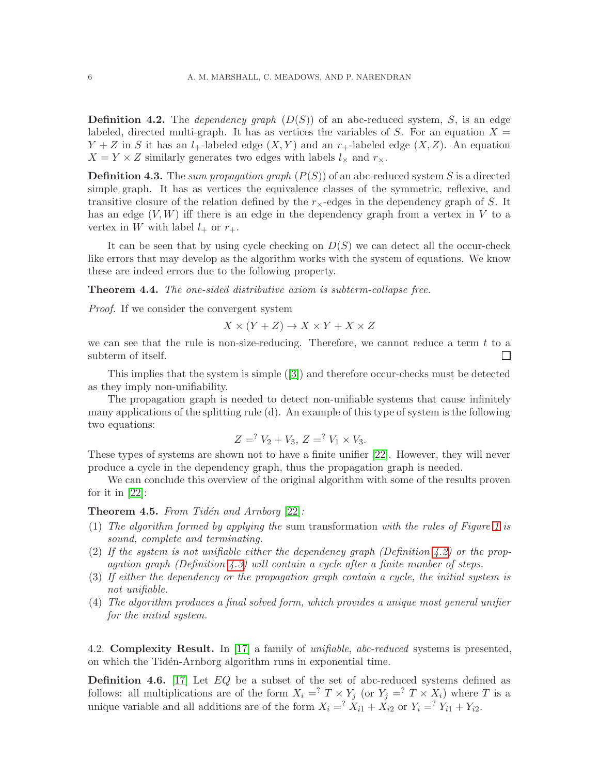<span id="page-5-0"></span>**Definition 4.2.** The *dependency graph*  $(D(S))$  of an abc-reduced system, S, is an edge labeled, directed multi-graph. It has as vertices the variables of S. For an equation  $X =$  $Y + Z$  in S it has an  $l_{+}$ -labeled edge  $(X, Y)$  and an  $r_{+}$ -labeled edge  $(X, Z)$ . An equation  $X = Y \times Z$  similarly generates two edges with labels  $l_{\times}$  and  $r_{\times}$ .

<span id="page-5-1"></span>**Definition 4.3.** The sum propagation graph  $(P(S))$  of an abc-reduced system S is a directed simple graph. It has as vertices the equivalence classes of the symmetric, reflexive, and transitive closure of the relation defined by the  $r_{\times}$ -edges in the dependency graph of S. It has an edge  $(V, W)$  iff there is an edge in the dependency graph from a vertex in  $V$  to a vertex in W with label  $l_+$  or  $r_+$ .

It can be seen that by using cycle checking on  $D(S)$  we can detect all the occur-check like errors that may develop as the algorithm works with the system of equations. We know these are indeed errors due to the following property.

<span id="page-5-2"></span>Theorem 4.4. The one-sided distributive axiom is subterm-collapse free.

Proof. If we consider the convergent system

$$
X \times (Y + Z) \to X \times Y + X \times Z
$$

we can see that the rule is non-size-reducing. Therefore, we cannot reduce a term  $t$  to a subterm of itself.  $\Box$ 

This implies that the system is simple([\[3\]](#page-37-9)) and therefore occur-checks must be detected as they imply non-unifiability.

The propagation graph is needed to detect non-unifiable systems that cause infinitely many applications of the splitting rule (d). An example of this type of system is the following two equations:

$$
Z = Y_2 + V_3, Z = Y_1 \times V_3.
$$

These types of systems are shown not to have a finite unifier [\[22\]](#page-38-0). However, they will never produce a cycle in the dependency graph, thus the propagation graph is needed.

We can conclude this overview of the original algorithm with some of the results proven for it in  $|22|$ :

<span id="page-5-3"></span>**Theorem 4.5.** From Tidén and Arnborg  $[22]$ :

- (1) The algorithm formed by applying the sum transformation with the rules of Figure [1](#page-4-0) is sound, complete and terminating.
- (2) If the system is not unifiable either the dependency graph (Definition [4.2\)](#page-5-0) or the propagation graph (Definition [4.3\)](#page-5-1) will contain a cycle after a finite number of steps.
- (3) If either the dependency or the propagation graph contain a cycle, the initial system is not unifiable.
- (4) The algorithm produces a final solved form, which provides a unique most general unifier for the initial system.

4.2. Complexity Result. In [\[17\]](#page-37-1) a family of *unifiable, abc-reduced* systems is presented, on which the Tidén-Arnborg algorithm runs in exponential time.

**Definition 4.6.** [\[17\]](#page-37-1) Let  $EQ$  be a subset of the set of abc-reduced systems defined as follows: all multiplications are of the form  $X_i = \nvert^2 T \times Y_j$  (or  $Y_j = \nvert^2 T \times X_i$ ) where T is a unique variable and all additions are of the form  $X_i = \overline{X}_{i1} + \overline{X}_{i2}$  or  $Y_i = \overline{Y}_{i1} + Y_{i2}$ .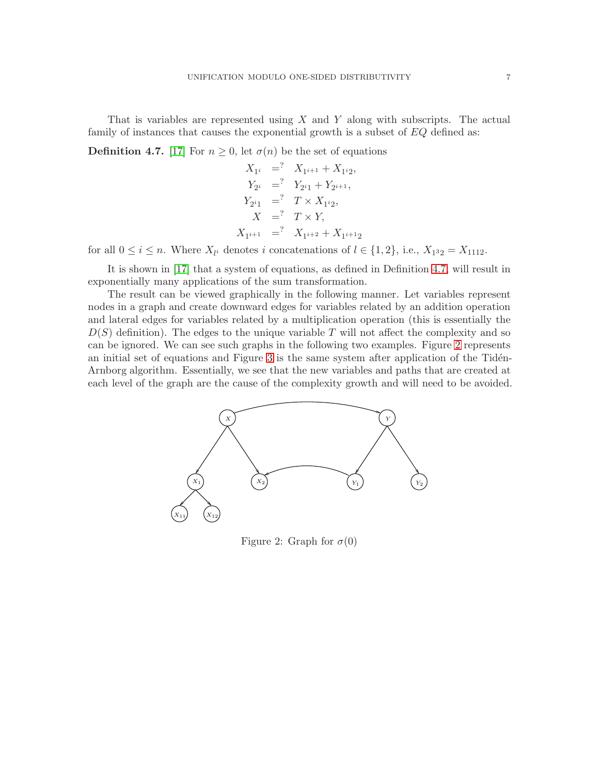That is variables are represented using  $X$  and  $Y$  along with subscripts. The actual family of instances that causes the exponential growth is a subset of  $EQ$  defined as:

<span id="page-6-0"></span>**Definition 4.7.** [\[17\]](#page-37-1) For  $n \geq 0$ , let  $\sigma(n)$  be the set of equations

$$
X_{1i} = ? \t X_{1i+1} + X_{1i2},
$$
  
\n
$$
Y_{2i} = ? \t Y_{2i1} + Y_{2i+1},
$$
  
\n
$$
Y_{2i1} = ? \t T \times X_{1i2},
$$
  
\n
$$
X = ? \t T \times Y,
$$
  
\n
$$
X_{1i+1} = ? \t X_{1i+2} + X_{1i+12}
$$

for all  $0 \le i \le n$ . Where  $X_{l_i}$  denotes i concatenations of  $l \in \{1, 2\}$ , i.e.,  $X_{1^3 2} = X_{1112}$ .

It is shown in [\[17\]](#page-37-1) that a system of equations, as defined in Definition [4.7,](#page-6-0) will result in exponentially many applications of the sum transformation.

The result can be viewed graphically in the following manner. Let variables represent nodes in a graph and create downward edges for variables related by an addition operation and lateral edges for variables related by a multiplication operation (this is essentially the  $D(S)$  definition). The edges to the unique variable T will not affect the complexity and so can be ignored. We can see such graphs in the following two examples. Figure [2](#page-6-1) represents an initial set of equations and Figure  $3$  is the same system after application of the Tidén-Arnborg algorithm. Essentially, we see that the new variables and paths that are created at each level of the graph are the cause of the complexity growth and will need to be avoided.



<span id="page-6-1"></span>Figure 2: Graph for  $\sigma(0)$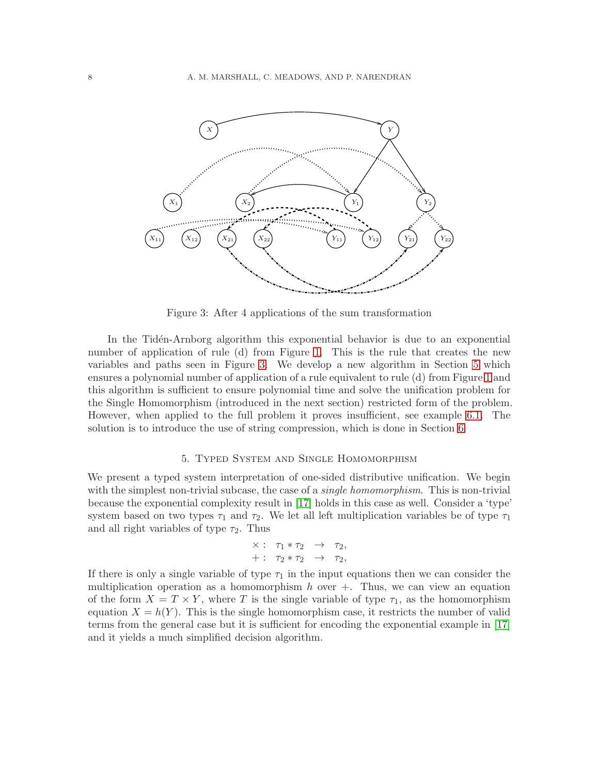

<span id="page-7-1"></span>Figure 3: After 4 applications of the sum transformation

In the Tidén-Arnborg algorithm this exponential behavior is due to an exponential number of application of rule (d) from Figure [1.](#page-4-0) This is the rule that creates the new variables and paths seen in Figure [3.](#page-7-1) We develop a new algorithm in Section [5](#page-7-0) which ensures a polynomial number of application of a rule equivalent to rule (d) from Figure [1](#page-4-0) and this algorithm is sufficient to ensure polynomial time and solve the unification problem for the Single Homomorphism (introduced in the next section) restricted form of the problem. However, when applied to the full problem it proves insufficient, see example [6.1.](#page-13-1) The solution is to introduce the use of string compression, which is done in Section [6.](#page-13-0)

#### 5. Typed System and Single Homomorphism

<span id="page-7-0"></span>We present a typed system interpretation of one-sided distributive unification. We begin with the simplest non-trivial subcase, the case of a *single homomorphism*. This is non-trivial because the exponential complexity result in [\[17\]](#page-37-1) holds in this case as well. Consider a 'type' system based on two types  $\tau_1$  and  $\tau_2$ . We let all left multiplication variables be of type  $\tau_1$ and all right variables of type  $\tau_2$ . Thus

$$
\begin{array}{rcl}\n\times:&\tau_1*\tau_2&\to&\tau_2,\\
+:&\tau_2*\tau_2&\to&\tau_2,\end{array}
$$

If there is only a single variable of type  $\tau_1$  in the input equations then we can consider the multiplication operation as a homomorphism  $h$  over  $+$ . Thus, we can view an equation of the form  $X = T \times Y$ , where T is the single variable of type  $\tau_1$ , as the homomorphism equation  $X = h(Y)$ . This is the single homomorphism case, it restricts the number of valid terms from the general case but it is sufficient for encoding the exponential example in [\[17\]](#page-37-1) and it yields a much simplified decision algorithm.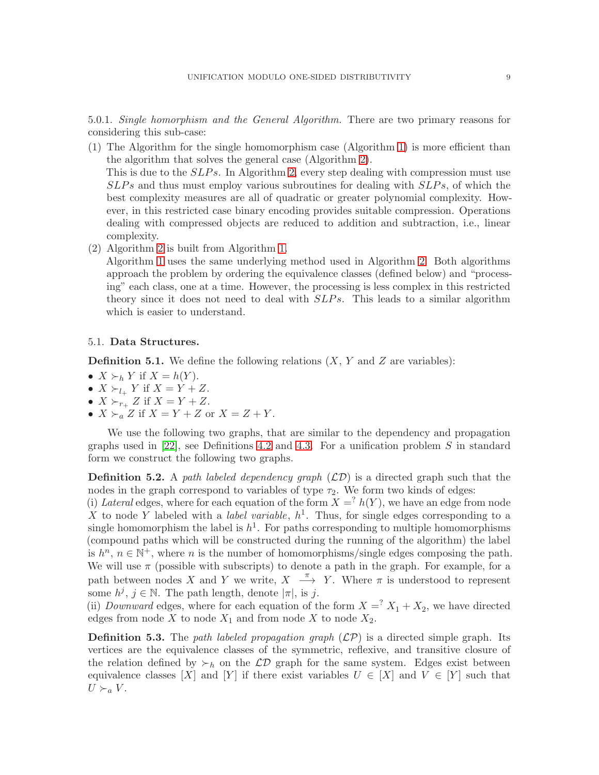5.0.1. Single homorphism and the General Algorithm. There are two primary reasons for considering this sub-case:

- (1) The Algorithm for the single homomorphism case (Algorithm [1\)](#page-11-0) is more efficient than the algorithm that solves the general case (Algorithm [2\)](#page-20-0). This is due to the *SLPs*. In Algorithm [2,](#page-20-0) every step dealing with compression must use  $SLPs$  and thus must employ various subroutines for dealing with  $SLPs$ , of which the best complexity measures are all of quadratic or greater polynomial complexity. However, in this restricted case binary encoding provides suitable compression. Operations dealing with compressed objects are reduced to addition and subtraction, i.e., linear complexity.
- (2) Algorithm [2](#page-20-0) is built from Algorithm [1.](#page-11-0)

Algorithm [1](#page-11-0) uses the same underlying method used in Algorithm [2.](#page-20-0) Both algorithms approach the problem by ordering the equivalence classes (defined below) and "processing" each class, one at a time. However, the processing is less complex in this restricted theory since it does not need to deal with  $SLPs$ . This leads to a similar algorithm which is easier to understand.

## 5.1. Data Structures.

**Definition 5.1.** We define the following relations  $(X, Y, Y)$  and  $Z$  are variables):

- $X \succ_h Y$  if  $X = h(Y)$ .
- $X \succ_{l_+} Y$  if  $X = Y + Z$ .
- $X \succ_{r_+} Z$  if  $X = Y + Z$ .
- $X \succ_a Z$  if  $X = Y + Z$  or  $X = Z + Y$ .

We use the following two graphs, that are similar to the dependency and propagation graphs used in  $[22]$ , see Definitions [4.2](#page-5-0) and [4.3.](#page-5-1) For a unification problem S in standard form we construct the following two graphs.

**Definition 5.2.** A path labeled dependency graph  $(\mathcal{LD})$  is a directed graph such that the nodes in the graph correspond to variables of type  $\tau_2$ . We form two kinds of edges:

(i) Lateral edges, where for each equation of the form  $X = \{h(Y)\}\$ , we have an edge from node X to node Y labeled with a *label variable*,  $h^1$ . Thus, for single edges corresponding to a single homomorphism the label is  $h^1$ . For paths corresponding to multiple homomorphisms (compound paths which will be constructed during the running of the algorithm) the label is  $h^n$ ,  $n \in \mathbb{N}^+$ , where n is the number of homomorphisms/single edges composing the path. We will use  $\pi$  (possible with subscripts) to denote a path in the graph. For example, for a path between nodes X and Y we write,  $X \longrightarrow Y$ . Where  $\pi$  is understood to represent some  $h^j$ ,  $j \in \mathbb{N}$ . The path length, denote  $|\pi|$ , is j.

(ii) *Downward* edges, where for each equation of the form  $X = X_1 + X_2$ , we have directed edges from node X to node  $X_1$  and from node X to node  $X_2$ .

**Definition 5.3.** The path labeled propagation graph  $(\mathcal{LP})$  is a directed simple graph. Its vertices are the equivalence classes of the symmetric, reflexive, and transitive closure of the relation defined by  $\succ_h$  on the  $\mathcal{LD}$  graph for the same system. Edges exist between equivalence classes [X] and [Y] if there exist variables  $U \in [X]$  and  $V \in [Y]$  such that  $U \succ_a V$ .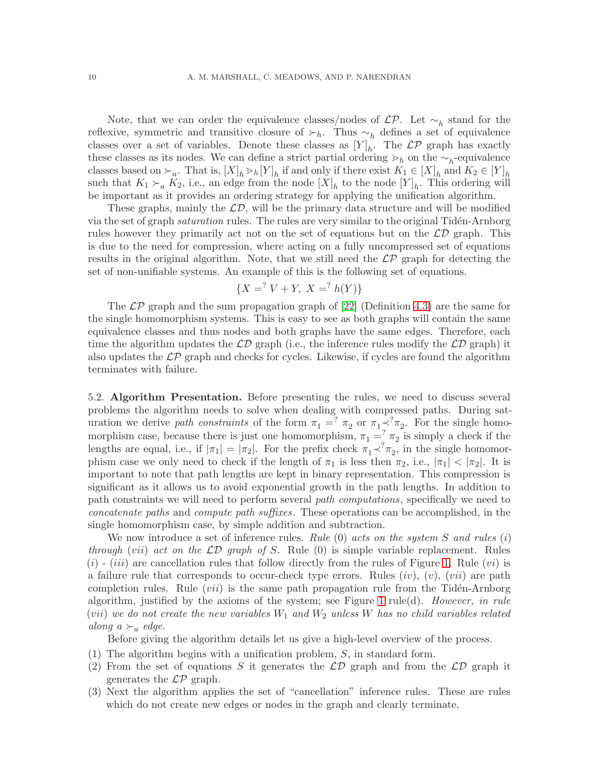Note, that we can order the equivalence classes/nodes of  $\mathcal{LP}$ . Let  $\sim_h$  stand for the reflexive, symmetric and transitive closure of  $\succ_h$ . Thus  $\sim_h$  defines a set of equivalence classes over a set of variables. Denote these classes as  $[Y]_h$ . The  $\mathcal{LP}$  graph has exactly these classes as its nodes. We can define a strict partial ordering  $\geq_h$  on the  $\sim_h$ -equivalence classes based on  $\succ_a$ . That is,  $[X]_h >_h [Y]_h$  if and only if there exist  $K_1 \in [X]_h$  and  $K_2 \in [Y]_h$ such that  $K_1 \succ_a K_2$ , i.e., an edge from the node  $[X]_h$  to the node  $[Y]_h$ . This ordering will be important as it provides an ordering strategy for applying the unification algorithm.

These graphs, mainly the  $\mathcal{LD}$ , will be the primary data structure and will be modified via the set of graph *saturation* rules. The rules are very similar to the original Tidén-Arnborg rules however they primarily act not on the set of equations but on the  $\mathcal{LD}$  graph. This is due to the need for compression, where acting on a fully uncompressed set of equations results in the original algorithm. Note, that we still need the  $\mathcal{LP}$  graph for detecting the set of non-unifiable systems. An example of this is the following set of equations.

$$
\{X = \, ^?V + Y, \ X = \, ^?h(Y)\}
$$

The  $\mathcal{LP}$  graph and the sum propagation graph of [\[22\]](#page-38-0) (Definition [4.3\)](#page-5-1) are the same for the single homomorphism systems. This is easy to see as both graphs will contain the same equivalence classes and thus nodes and both graphs have the same edges. Therefore, each time the algorithm updates the  $\mathcal{LD}$  graph (i.e., the inference rules modify the  $\mathcal{LD}$  graph) it also updates the  $\mathcal{LP}$  graph and checks for cycles. Likewise, if cycles are found the algorithm terminates with failure.

5.2. Algorithm Presentation. Before presenting the rules, we need to discuss several problems the algorithm needs to solve when dealing with compressed paths. During saturation we derive path constraints of the form  $\pi_1 =^? \pi_2$  or  $\pi_1 \prec^? \pi_2$ . For the single homomorphism case, because there is just one homomorphism,  $\pi_1 = \pi_2^2 \pi_2$  is simply a check if the lengths are equal, i.e., if  $|\pi_1| = |\pi_2|$ . For the prefix check  $\pi_1 \prec^? \pi_2$ , in the single homomorphism case we only need to check if the length of  $\pi_1$  is less then  $\pi_2$ , i.e.,  $|\pi_1| < |\pi_2|$ . It is important to note that path lengths are kept in binary representation. This compression is significant as it allows us to avoid exponential growth in the path lengths. In addition to path constraints we will need to perform several path computations, specifically we need to concatenate paths and compute path suffixes. These operations can be accomplished, in the single homomorphism case, by simple addition and subtraction.

We now introduce a set of inference rules. Rule  $(0)$  acts on the system S and rules  $(i)$ through (vii) act on the  $\mathcal{LD}$  graph of S. Rule (0) is simple variable replacement. Rules  $(i)$  -  $(iii)$  are cancellation rules that follow directly from the rules of Figure [1.](#page-4-0) Rule  $(vi)$  is a failure rule that corresponds to occur-check type errors. Rules  $(iv)$ ,  $(v)$ ,  $(vii)$  are path completion rules. Rule  $(vii)$  is the same path propagation rule from the Tidén-Arnborg algorithm, justified by the axioms of the system; see Figure [1](#page-4-0) rule(d). However, in rule (vii) we do not create the new variables  $W_1$  and  $W_2$  unless W has no child variables related along a  $\succ_a$  edge.

Before giving the algorithm details let us give a high-level overview of the process.

- (1) The algorithm begins with a unification problem, S, in standard form.
- (2) From the set of equations S it generates the  $\mathcal{LD}$  graph and from the  $\mathcal{LD}$  graph it generates the  $\mathcal{LP}$  graph.
- (3) Next the algorithm applies the set of "cancellation" inference rules. These are rules which do not create new edges or nodes in the graph and clearly terminate.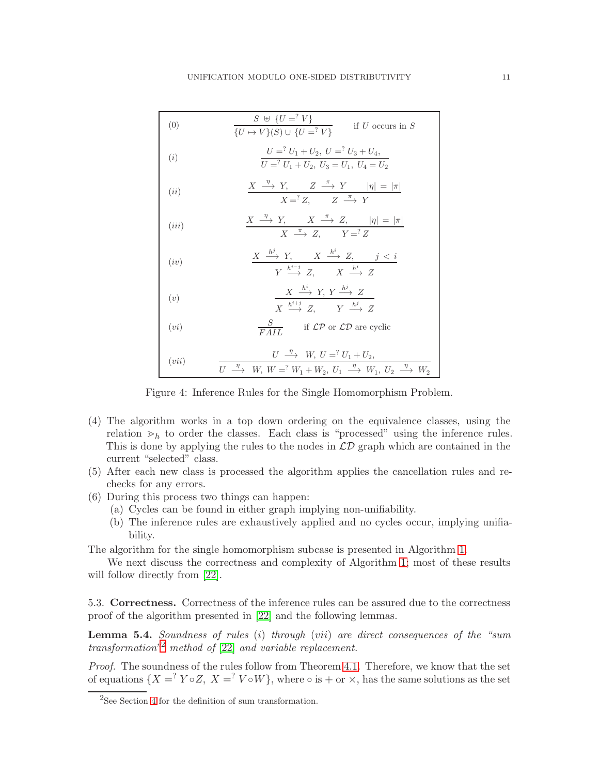| (0)   | $S \oplus \{U = ?V\}$<br>if $U$ occurs in $S$<br>$\{U \mapsto V\}(S) \cup \{U = ?V\}$                                                                                                                   |
|-------|---------------------------------------------------------------------------------------------------------------------------------------------------------------------------------------------------------|
| (i)   | $U =$ <sup>2</sup> $U_1 + U_2$ , $U =$ <sup>2</sup> $U_3 + U_4$ ,<br>$U = V_1 + U_2, U_3 = U_1, U_4 = U_2$                                                                                              |
| (ii)  | $\begin{array}{c cccc}\nX & \xrightarrow{\eta} & Y, & Z & \xrightarrow{\pi} & Y &  \eta  =  \pi  \\ \hline\nX = & Z, & Z & \xrightarrow{\pi} & Y\n\end{array}$                                          |
| (iii) | $\frac{X \stackrel{\eta}{\longrightarrow} Y, \quad X \stackrel{\pi}{\longrightarrow} Z, \quad  \eta  =  \pi }{X \stackrel{\pi}{\longrightarrow} Z, \quad Y =^? Z}$                                      |
| (iv)  | $\frac{X \stackrel{h^j}{\longrightarrow} Y, \quad X \stackrel{h^i}{\longrightarrow} Z, \quad j < i}{Y \stackrel{h^{i-j}}{\longrightarrow} Z, \quad X \stackrel{h^i}{\longrightarrow} Z}$                |
| (v)   | $X \stackrel{h^i}{\longrightarrow} Y, Y \stackrel{h^j}{\longrightarrow} Z$<br>$X \stackrel{h^{i+j}}{\longrightarrow} Z \qquad Y \stackrel{h^j}{\longrightarrow} Z$                                      |
| (vi)  | $\frac{S}{FAII}$ if $\mathcal{LP}$ or $\mathcal{LD}$ are cyclic                                                                                                                                         |
| (vii) | $U \stackrel{\eta}{\longrightarrow} W, U =^? U_1 + U_2,$<br>$U \stackrel{\eta}{\longrightarrow} W, W =^? W_1 + W_2, U_1 \stackrel{\eta}{\longrightarrow} W_1, U_2 \stackrel{\eta}{\longrightarrow} W_2$ |

Figure 4: Inference Rules for the Single Homomorphism Problem.

- (4) The algorithm works in a top down ordering on the equivalence classes, using the relation  $\geq_h$  to order the classes. Each class is "processed" using the inference rules. This is done by applying the rules to the nodes in  $\mathcal{LD}$  graph which are contained in the current "selected" class.
- (5) After each new class is processed the algorithm applies the cancellation rules and rechecks for any errors.
- (6) During this process two things can happen:
	- (a) Cycles can be found in either graph implying non-unifiability.
	- (b) The inference rules are exhaustively applied and no cycles occur, implying unifiability.

The algorithm for the single homomorphism subcase is presented in Algorithm [1.](#page-11-0)

We next discuss the correctness and complexity of Algorithm [1;](#page-11-0) most of these results will follow directly from [\[22\]](#page-38-0).

5.3. Correctness. Correctness of the inference rules can be assured due to the correctness proof of the algorithm presented in [\[22\]](#page-38-0) and the following lemmas.

<span id="page-10-1"></span>**Lemma 5.4.** Soundness of rules (i) through (vii) are direct consequences of the "sum transformation"[2](#page-10-0) method of [\[22\]](#page-38-0) and variable replacement.

Proof. The soundness of the rules follow from Theorem [4.1.](#page-4-2) Therefore, we know that the set of equations  $\{X = \n\begin{bmatrix}\nY \circ Z, X = \n\end{bmatrix} V \circ W\}$ , where  $\circ$  is  $+$  or  $\times$ , has the same solutions as the set

<span id="page-10-0"></span><sup>&</sup>lt;sup>2</sup>See Section [4](#page-3-0) for the definition of sum transformation.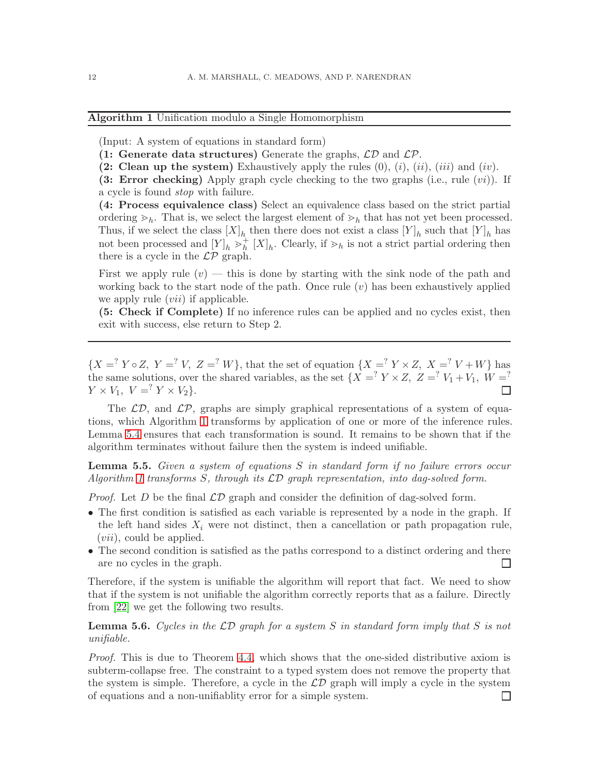<span id="page-11-0"></span>Algorithm 1 Unification modulo a Single Homomorphism

(Input: A system of equations in standard form)

- (1: Generate data structures) Generate the graphs,  $\mathcal{LD}$  and  $\mathcal{LP}$ .
- (2: Clean up the system) Exhaustively apply the rules  $(0), (i), (ii), (iii)$  and  $(iv)$ .

(3: Error checking) Apply graph cycle checking to the two graphs (i.e., rule  $(vi)$ ). If a cycle is found stop with failure.

(4: Process equivalence class) Select an equivalence class based on the strict partial ordering  $\geq_h$ . That is, we select the largest element of  $\geq_h$  that has not yet been processed. Thus, if we select the class  $[X]_h$  then there does not exist a class  $[Y]_h$  such that  $[Y]_h$  has not been processed and  $[Y]_h >_h^+$  $h<sub>h</sub><sup>+</sup> [X]<sub>h</sub>$ . Clearly, if  $\geq_h$  is not a strict partial ordering then there is a cycle in the  $\mathcal{LP}$  graph.

First we apply rule  $(v)$  — this is done by starting with the sink node of the path and working back to the start node of the path. Once rule  $(v)$  has been exhaustively applied we apply rule *(vii)* if applicable.

(5: Check if Complete) If no inference rules can be applied and no cycles exist, then exit with success, else return to Step 2.

 ${X =^? Y \circ Z, Y =^? V, Z =^? W}$ , that the set of equation  ${X =^? Y \times Z, X =^? V + W}$  has the same solutions, over the shared variables, as the set  ${X =^? Y \times Z, Z =^? V_1 + V_1, W =^?}$  $Y \times V_1$ ,  $V = \begin{cases} Y \times V_2 \end{cases}$ . П

The  $\mathcal{LD}$ , and  $\mathcal{LP}$ , graphs are simply graphical representations of a system of equations, which Algorithm [1](#page-11-0) transforms by application of one or more of the inference rules. Lemma [5.4](#page-10-1) ensures that each transformation is sound. It remains to be shown that if the algorithm terminates without failure then the system is indeed unifiable.

**Lemma 5.5.** Given a system of equations S in standard form if no failure errors occur Algorithm [1](#page-11-0) transforms S, through its  $\mathcal{LD}$  graph representation, into dag-solved form.

*Proof.* Let D be the final  $\mathcal{LD}$  graph and consider the definition of dag-solved form.

- The first condition is satisfied as each variable is represented by a node in the graph. If the left hand sides  $X_i$  were not distinct, then a cancellation or path propagation rule, (vii), could be applied.
- The second condition is satisfied as the paths correspond to a distinct ordering and there are no cycles in the graph.  $\Box$

Therefore, if the system is unifiable the algorithm will report that fact. We need to show that if the system is not unifiable the algorithm correctly reports that as a failure. Directly from [\[22\]](#page-38-0) we get the following two results.

# <span id="page-11-1"></span>**Lemma 5.6.** Cycles in the  $\mathcal{LD}$  graph for a system S in standard form imply that S is not unifiable.

Proof. This is due to Theorem [4.4,](#page-5-2) which shows that the one-sided distributive axiom is subterm-collapse free. The constraint to a typed system does not remove the property that the system is simple. Therefore, a cycle in the  $\mathcal{LD}$  graph will imply a cycle in the system of equations and a non-unifiablity error for a simple system.П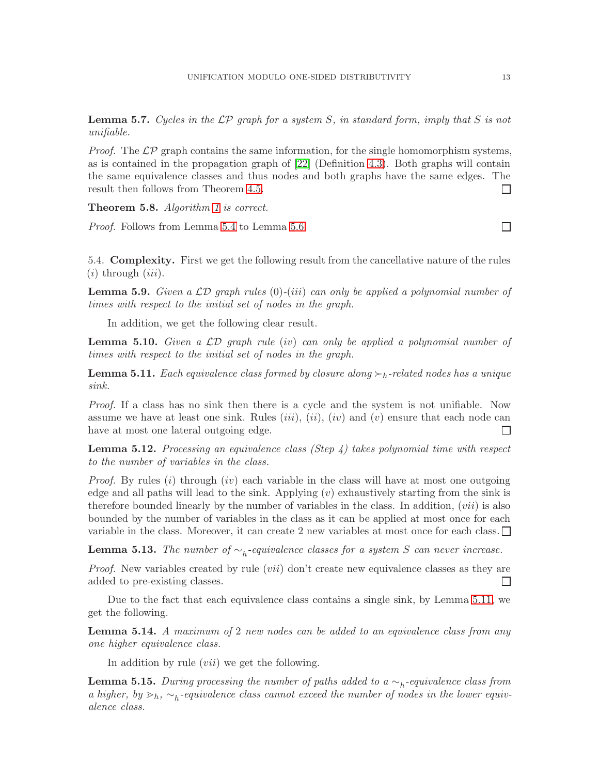**Lemma 5.7.** Cycles in the  $\mathcal{LP}$  graph for a system S, in standard form, imply that S is not unifiable.

*Proof.* The  $\mathcal{LP}$  graph contains the same information, for the single homomorphism systems, as is contained in the propagation graph of [\[22\]](#page-38-0) (Definition [4.3\)](#page-5-1). Both graphs will contain the same equivalence classes and thus nodes and both graphs have the same edges. The result then follows from Theorem [4.5.](#page-5-3)  $\Box$ 

Theorem 5.8. Algorithm [1](#page-11-0) is correct.

Proof. Follows from Lemma [5.4](#page-10-1) to Lemma [5.6.](#page-11-1)

5.4. Complexity. First we get the following result from the cancellative nature of the rules  $(i)$  through  $(iii)$ .

**Lemma 5.9.** Given a  $\mathcal{LD}$  graph rules (0)-(iii) can only be applied a polynomial number of times with respect to the initial set of nodes in the graph.

In addition, we get the following clear result.

**Lemma 5.10.** Given a  $\mathcal{LD}$  graph rule (iv) can only be applied a polynomial number of times with respect to the initial set of nodes in the graph.

<span id="page-12-0"></span>**Lemma 5.11.** Each equivalence class formed by closure along  $\succ_h$ -related nodes has a unique sink.

Proof. If a class has no sink then there is a cycle and the system is not unifiable. Now assume we have at least one sink. Rules *(iii)*, *(ii)*, *(iv)* and *(v)* ensure that each node can have at most one lateral outgoing edge.  $\Box$ 

<span id="page-12-1"></span>**Lemma 5.12.** Processing an equivalence class (Step 4) takes polynomial time with respect to the number of variables in the class.

*Proof.* By rules (i) through (iv) each variable in the class will have at most one outgoing edge and all paths will lead to the sink. Applying  $(v)$  exhaustively starting from the sink is therefore bounded linearly by the number of variables in the class. In addition,  $(vii)$  is also bounded by the number of variables in the class as it can be applied at most once for each variable in the class. Moreover, it can create 2 new variables at most once for each class.  $\square$ 

<span id="page-12-4"></span>**Lemma 5.13.** The number of  $\sim_h$ -equivalence classes for a system S can never increase.

*Proof.* New variables created by rule  $(vii)$  don't create new equivalence classes as they are added to pre-existing classes. П

Due to the fact that each equivalence class contains a single sink, by Lemma [5.11,](#page-12-0) we get the following.

<span id="page-12-2"></span>**Lemma 5.14.** A maximum of 2 new nodes can be added to an equivalence class from any one higher equivalence class.

In addition by rule *(vii)* we get the following.

<span id="page-12-3"></span>**Lemma 5.15.** During processing the number of paths added to a  $\sim_h$ -equivalence class from a higher, by  $>h$ ,  $\sim_h$ -equivalence class cannot exceed the number of nodes in the lower equivalence class.

 $\Box$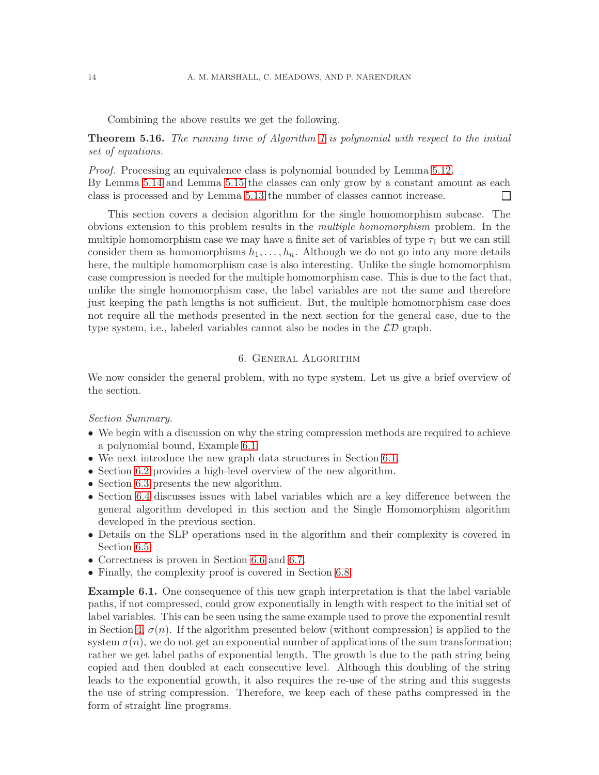Combining the above results we get the following.

**Theorem 5.16.** The running time of Algorithm [1](#page-11-0) is polynomial with respect to the initial set of equations.

*Proof.* Processing an equivalence class is polynomial bounded by Lemma [5.12.](#page-12-1) By Lemma [5.14](#page-12-2) and Lemma [5.15](#page-12-3) the classes can only grow by a constant amount as each class is processed and by Lemma [5.13](#page-12-4) the number of classes cannot increase.  $\Box$ 

This section covers a decision algorithm for the single homomorphism subcase. The obvious extension to this problem results in the multiple homomorphism problem. In the multiple homomorphism case we may have a finite set of variables of type  $\tau_1$  but we can still consider them as homomorphisms  $h_1, \ldots, h_n$ . Although we do not go into any more details here, the multiple homomorphism case is also interesting. Unlike the single homomorphism case compression is needed for the multiple homomorphism case. This is due to the fact that, unlike the single homomorphism case, the label variables are not the same and therefore just keeping the path lengths is not sufficient. But, the multiple homomorphism case does not require all the methods presented in the next section for the general case, due to the type system, i.e., labeled variables cannot also be nodes in the  $\mathcal{LD}$  graph.

# 6. General Algorithm

<span id="page-13-0"></span>We now consider the general problem, with no type system. Let us give a brief overview of the section.

Section Summary.

- We begin with a discussion on why the string compression methods are required to achieve a polynomial bound, Example [6.1.](#page-13-1)
- We next introduce the new graph data structures in Section [6.1.](#page-14-0)
- Section [6.2](#page-17-0) provides a high-level overview of the new algorithm.
- Section [6.3](#page-18-0) presents the new algorithm.
- Section [6.4](#page-21-0) discusses issues with label variables which are a key difference between the general algorithm developed in this section and the Single Homomorphism algorithm developed in the previous section.
- Details on the SLP operations used in the algorithm and their complexity is covered in Section [6.5.](#page-21-1)
- Correctness is proven in Section [6.6](#page-24-0) and [6.7.](#page-25-0)
- Finally, the complexity proof is covered in Section [6.8.](#page-26-0)

<span id="page-13-1"></span>Example 6.1. One consequence of this new graph interpretation is that the label variable paths, if not compressed, could grow exponentially in length with respect to the initial set of label variables. This can be seen using the same example used to prove the exponential result in Section [4,](#page-3-0)  $\sigma(n)$ . If the algorithm presented below (without compression) is applied to the system  $\sigma(n)$ , we do not get an exponential number of applications of the sum transformation; rather we get label paths of exponential length. The growth is due to the path string being copied and then doubled at each consecutive level. Although this doubling of the string leads to the exponential growth, it also requires the re-use of the string and this suggests the use of string compression. Therefore, we keep each of these paths compressed in the form of straight line programs.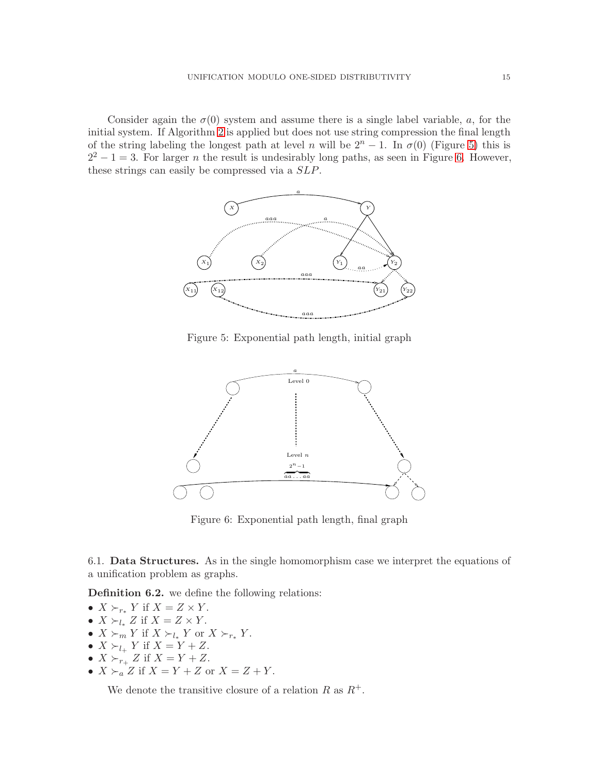Consider again the  $\sigma(0)$  system and assume there is a single label variable, a, for the initial system. If Algorithm [2](#page-20-0) is applied but does not use string compression the final length of the string labeling the longest path at level n will be  $2^{n} - 1$ . In  $\sigma(0)$  (Figure [5\)](#page-14-1) this is  $2^2 - 1 = 3$ . For larger *n* the result is undesirably long paths, as seen in Figure [6.](#page-14-2) However, these strings can easily be compressed via a SLP.



<span id="page-14-1"></span>Figure 5: Exponential path length, initial graph



<span id="page-14-2"></span>Figure 6: Exponential path length, final graph

<span id="page-14-0"></span>6.1. Data Structures. As in the single homomorphism case we interpret the equations of a unification problem as graphs.

Definition 6.2. we define the following relations:

- $X \succ_{r_*} Y$  if  $X = Z \times Y$ .
- $X \succ_{l_{*}} Z$  if  $X = Z \times Y$ .
- $X \succ_m Y$  if  $X \succ_{l_*} Y$  or  $X \succ_{r_*} Y$ .
- $X \succ_{l_{+}} Y$  if  $X = Y + Z$ .
- $X \succ_{r_+} Z$  if  $X = Y + Z$ .
- $X \succ_a Z$  if  $X = Y + Z$  or  $X = Z + Y$ .

We denote the transitive closure of a relation R as  $R^+$ .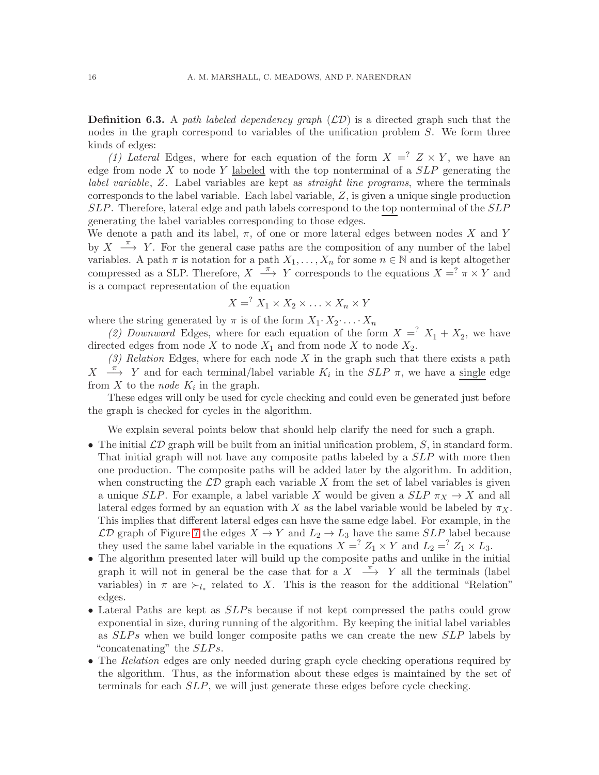**Definition 6.3.** A path labeled dependency graph  $(\mathcal{LD})$  is a directed graph such that the nodes in the graph correspond to variables of the unification problem S. We form three kinds of edges:

(1) Lateral Edges, where for each equation of the form  $X = \begin{bmatrix} 2 & x & y \\ y & z & z \end{bmatrix}$ , we have an edge from node  $X$  to node  $Y$  labeled with the top nonterminal of a  $SLP$  generating the label variable, Z. Label variables are kept as straight line programs, where the terminals corresponds to the label variable. Each label variable,  $Z$ , is given a unique single production SLP. Therefore, lateral edge and path labels correspond to the top nonterminal of the SLP generating the label variables corresponding to those edges.

We denote a path and its label,  $\pi$ , of one or more lateral edges between nodes X and Y by  $X \xrightarrow{\pi} Y$ . For the general case paths are the composition of any number of the label variables. A path  $\pi$  is notation for a path  $X_1, \ldots, X_n$  for some  $n \in \mathbb{N}$  and is kept altogether compressed as a SLP. Therefore,  $X \stackrel{\pi}{\longrightarrow} Y$  corresponds to the equations  $X = ? \pi \times Y$  and is a compact representation of the equation

$$
X = X_1 \times X_2 \times \ldots \times X_n \times Y
$$

where the string generated by  $\pi$  is of the form  $X_1 \cdot X_2 \cdot \ldots \cdot X_n$ 

(2) Downward Edges, where for each equation of the form  $X = X_1 + X_2$ , we have directed edges from node  $X$  to node  $X_1$  and from node  $X$  to node  $X_2$ .

 $(3)$  Relation Edges, where for each node X in the graph such that there exists a path  $X \longrightarrow Y$  and for each terminal/label variable  $K_i$  in the  $SLP$   $\pi$ , we have a single edge from X to the *node*  $K_i$  in the graph.

These edges will only be used for cycle checking and could even be generated just before the graph is checked for cycles in the algorithm.

We explain several points below that should help clarify the need for such a graph.

- The initial  $\mathcal{LD}$  graph will be built from an initial unification problem, S, in standard form. That initial graph will not have any composite paths labeled by a SLP with more then one production. The composite paths will be added later by the algorithm. In addition, when constructing the  $\mathcal{LD}$  graph each variable X from the set of label variables is given a unique SLP. For example, a label variable X would be given a  $SLP \pi_X \to X$  and all lateral edges formed by an equation with X as the label variable would be labeled by  $\pi_X$ . This implies that different lateral edges can have the same edge label. For example, in the  $\mathcal{LD}$  graph of Figure [7](#page-16-0) the edges  $X \to Y$  and  $L_2 \to L_3$  have the same SLP label because they used the same label variable in the equations  $X = \begin{cases} Z_1 \times Y \end{cases}$  and  $L_2 = \begin{cases} Z_1 \times L_3 \end{cases}$ .
- The algorithm presented later will build up the composite paths and unlike in the initial graph it will not in general be the case that for a  $X \xrightarrow{\pi} Y$  all the terminals (label variables) in  $\pi$  are  $\succ_{l_*}$  related to X. This is the reason for the additional "Relation" edges.
- Lateral Paths are kept as  $SLP$ s because if not kept compressed the paths could grow exponential in size, during running of the algorithm. By keeping the initial label variables as SLP s when we build longer composite paths we can create the new SLP labels by "concatenating" the  $SLPs$ .
- The Relation edges are only needed during graph cycle checking operations required by the algorithm. Thus, as the information about these edges is maintained by the set of terminals for each SLP, we will just generate these edges before cycle checking.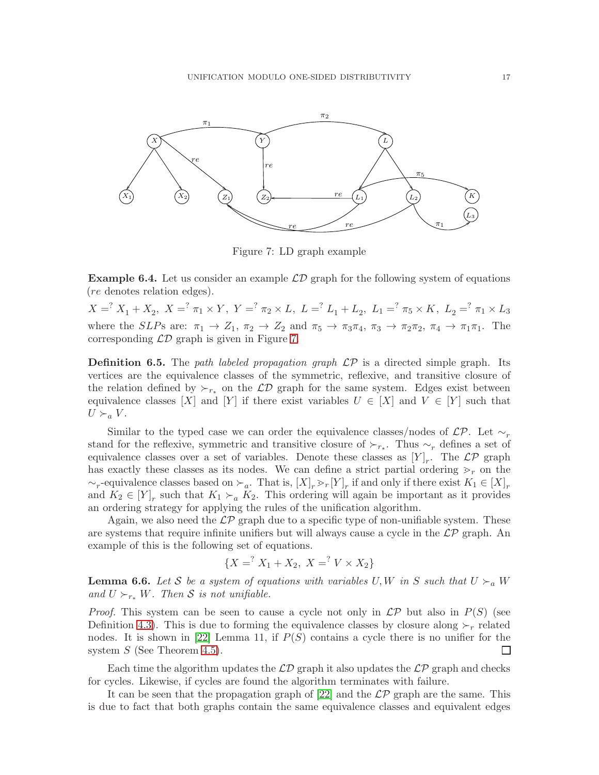

<span id="page-16-0"></span>Figure 7: LD graph example

**Example 6.4.** Let us consider an example  $\mathcal{LD}$  graph for the following system of equations (re denotes relation edges).

 $X = \n\begin{cases} \nX - \frac{1}{2}X_1 + X_2, \ X = \n\begin{cases} \n\pi_1 \times Y, \ Y = \n\end{cases} \n\pi_2 \times L, \ L = \n\begin{cases} \nL_1 + L_2, \ L_1 = \n\begin{cases} \n\pi_5 \times K, \ L_2 = \n\end{cases} \n\pi_1 \times L_3\n\end{cases}$ where the SLPs are:  $\pi_1 \to Z_1$ ,  $\pi_2 \to Z_2$  and  $\pi_5 \to \pi_3\pi_4$ ,  $\pi_3 \to \pi_2\pi_2$ ,  $\pi_4 \to \pi_1\pi_1$ . The corresponding  $\mathcal{LD}$  graph is given in Figure [7.](#page-16-0)

**Definition 6.5.** The path labeled propagation graph  $\mathcal{LP}$  is a directed simple graph. Its vertices are the equivalence classes of the symmetric, reflexive, and transitive closure of the relation defined by  $\succ_{r_*}$  on the  $\mathcal{LD}$  graph for the same system. Edges exist between equivalence classes [X] and [Y] if there exist variables  $U \in [X]$  and  $V \in [Y]$  such that  $U \succ_a V$ .

Similar to the typed case we can order the equivalence classes/nodes of  $\mathcal{LP}$ . Let  $\sim_r$ stand for the reflexive, symmetric and transitive closure of  $\succ_{r_*}$ . Thus  $\sim_r$  defines a set of equivalence classes over a set of variables. Denote these classes as  $[Y]_r$ . The  $\mathcal{LP}$  graph has exactly these classes as its nodes. We can define a strict partial ordering  $\gtrdot_r$  on the  $\sim_r$ -equivalence classes based on  $\succ_a$ . That is,  $[X]_r > r[Y]_r$  if and only if there exist  $K_1 \in [X]_r$ and  $K_2 \in [Y]_r$  such that  $K_1 \succ_a K_2$ . This ordering will again be important as it provides an ordering strategy for applying the rules of the unification algorithm.

Again, we also need the  $\mathcal{LP}$  graph due to a specific type of non-unifiable system. These are systems that require infinite unifiers but will always cause a cycle in the  $\mathcal{LP}$  graph. An example of this is the following set of equations.

$$
\{X = ^? X_1 + X_2, \ X = ^? V \times X_2\}
$$

<span id="page-16-1"></span>**Lemma 6.6.** Let S be a system of equations with variables U, W in S such that  $U \succ_a W$ and  $U \succ_{r_*} W$ . Then S is not unifiable.

*Proof.* This system can be seen to cause a cycle not only in  $\mathcal{LP}$  but also in  $P(S)$  (see Definition [4.3\)](#page-5-1). This is due to forming the equivalence classes by closure along  $\succ_r$  related nodes. It is shown in [\[22\]](#page-38-0) Lemma 11, if  $P(S)$  contains a cycle there is no unifier for the system  $S$  (See Theorem [4.5\)](#page-5-3). ப

Each time the algorithm updates the  $\mathcal{LD}$  graph it also updates the  $\mathcal{LP}$  graph and checks for cycles. Likewise, if cycles are found the algorithm terminates with failure.

It can be seen that the propagation graph of [\[22\]](#page-38-0) and the  $\mathcal{LP}$  graph are the same. This is due to fact that both graphs contain the same equivalence classes and equivalent edges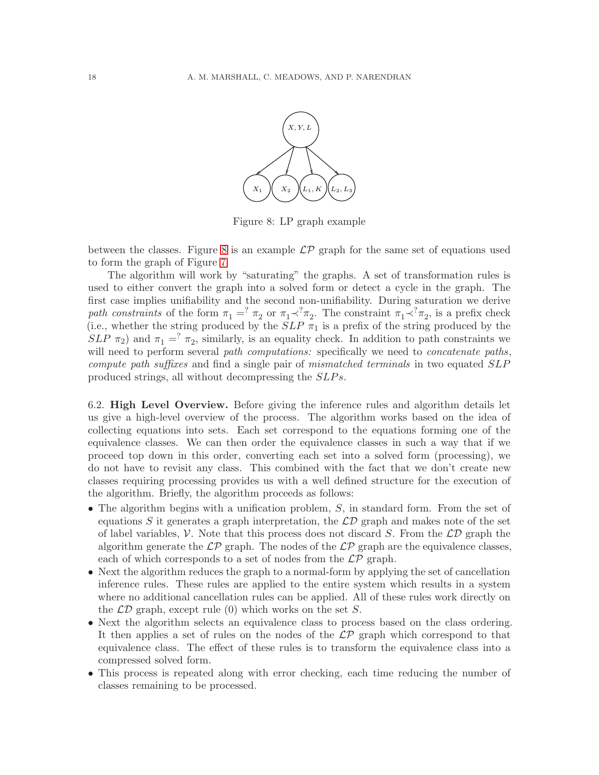

<span id="page-17-1"></span>Figure 8: LP graph example

between the classes. Figure [8](#page-17-1) is an example  $\mathcal{LP}$  graph for the same set of equations used to form the graph of Figure [7.](#page-16-0)

The algorithm will work by "saturating" the graphs. A set of transformation rules is used to either convert the graph into a solved form or detect a cycle in the graph. The first case implies unifiability and the second non-unifiability. During saturation we derive path constraints of the form  $\pi_1 = \pi_2$  or  $\pi_1 \prec^? \pi_2$ . The constraint  $\pi_1 \prec^? \pi_2$ , is a prefix check (i.e., whether the string produced by the  $SLP \pi_1$  is a prefix of the string produced by the  $SLP \tau_2$ ) and  $\tau_1 =^? \tau_2$ , similarly, is an equality check. In addition to path constraints we will need to perform several path computations: specifically we need to *concatenate paths*, compute path suffixes and find a single pair of mismatched terminals in two equated SLP produced strings, all without decompressing the  $SLPs$ .

<span id="page-17-0"></span>6.2. High Level Overview. Before giving the inference rules and algorithm details let us give a high-level overview of the process. The algorithm works based on the idea of collecting equations into sets. Each set correspond to the equations forming one of the equivalence classes. We can then order the equivalence classes in such a way that if we proceed top down in this order, converting each set into a solved form (processing), we do not have to revisit any class. This combined with the fact that we don't create new classes requiring processing provides us with a well defined structure for the execution of the algorithm. Briefly, the algorithm proceeds as follows:

- The algorithm begins with a unification problem,  $S$ , in standard form. From the set of equations S it generates a graph interpretation, the  $\mathcal{LD}$  graph and makes note of the set of label variables,  $\mathcal V$ . Note that this process does not discard S. From the  $\mathcal{LD}$  graph the algorithm generate the  $\mathcal{LP}$  graph. The nodes of the  $\mathcal{LP}$  graph are the equivalence classes, each of which corresponds to a set of nodes from the  $\mathcal{LP}$  graph.
- Next the algorithm reduces the graph to a normal-form by applying the set of cancellation inference rules. These rules are applied to the entire system which results in a system where no additional cancellation rules can be applied. All of these rules work directly on the  $\mathcal{LD}$  graph, except rule (0) which works on the set S.
- Next the algorithm selects an equivalence class to process based on the class ordering. It then applies a set of rules on the nodes of the  $\mathcal{LP}$  graph which correspond to that equivalence class. The effect of these rules is to transform the equivalence class into a compressed solved form.
- This process is repeated along with error checking, each time reducing the number of classes remaining to be processed.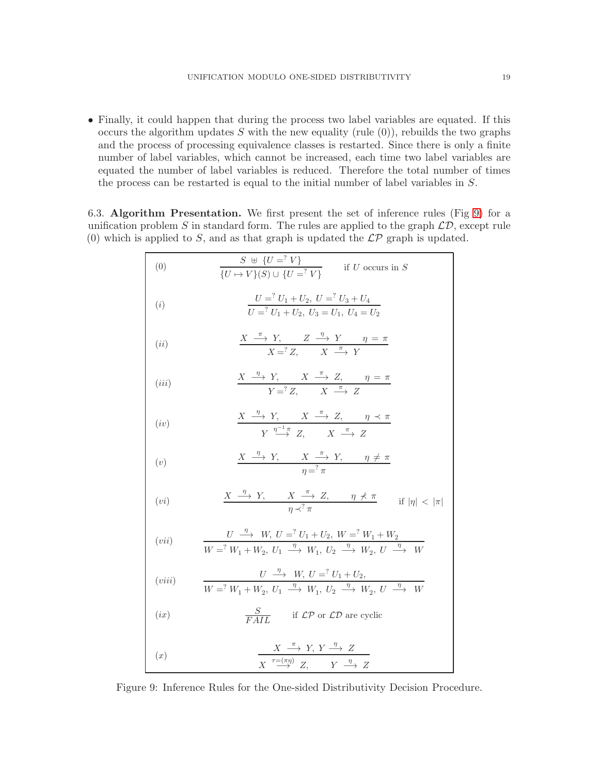• Finally, it could happen that during the process two label variables are equated. If this occurs the algorithm updates S with the new equality (rule  $(0)$ ), rebuilds the two graphs and the process of processing equivalence classes is restarted. Since there is only a finite number of label variables, which cannot be increased, each time two label variables are equated the number of label variables is reduced. Therefore the total number of times the process can be restarted is equal to the initial number of label variables in S.

<span id="page-18-0"></span>6.3. Algorithm Presentation. We first present the set of inference rules (Fig [9\)](#page-18-1) for a unification problem S in standard form. The rules are applied to the graph  $\mathcal{LD}$ , except rule (0) which is applied to S, and as that graph is updated the  $\mathcal{LP}$  graph is updated.

| (0)    | $\frac{S \cup \{U = ?V\}}{\{U \mapsto V\}(S) \cup \{U = ?V\}}$<br>if $\cal U$ occurs in $\cal S$                                                                                                                           |
|--------|----------------------------------------------------------------------------------------------------------------------------------------------------------------------------------------------------------------------------|
| (i)    | $U =$ <sup>2</sup> $U_1 + U_2$ , $U =$ <sup>2</sup> $U_3 + U_4$<br>$\overline{U} = \overline{U_1 + U_2}, \ \overline{U_3} = \overline{U_1}, \ \overline{U_4} = U_2$                                                        |
| (ii)   | $\frac{X \stackrel{\pi}{\longrightarrow} Y, \quad Z \stackrel{\eta}{\longrightarrow} Y \quad \eta = \pi}{X = Z, \quad X \stackrel{\pi}{\longrightarrow} Y}$                                                                |
| (iii)  | $\frac{X \stackrel{\eta}{\longrightarrow} Y, \quad X \stackrel{\pi}{\longrightarrow} Z, \quad \eta = \pi}{Y =^? Z, \quad X \stackrel{\pi}{\longrightarrow} Z}$                                                             |
| (iv)   | $\begin{array}{c}\nX \xrightarrow{\eta} Y, \quad X \xrightarrow{\pi} Z, \quad \eta \prec \pi \\ Y \xrightarrow{\eta^{-1} \pi} Z, \quad X \xrightarrow{\pi} Z\n\end{array}$                                                 |
| (v)    | $X \stackrel{\eta}{\longrightarrow} Y, \qquad X \stackrel{\eta}{\longrightarrow} Y, \qquad \eta \neq \pi$<br>$n = ? \pi$                                                                                                   |
| (vi)   | $\frac{X \stackrel{\eta}{\longrightarrow} Y, \qquad X \stackrel{\pi}{\longrightarrow} Z, \qquad \eta \nless \pi \qquad \text{if }  \eta  <  \pi }{\longrightarrow$                                                         |
| (vii)  | $\frac{U \stackrel{\eta}{\longrightarrow} W, U =^? U_1 + U_2, W =^? W_1 + W_2}{W =^? W_1 + W_2, U_1 \stackrel{\eta}{\longrightarrow} W_1, U_2 \stackrel{\eta}{\longrightarrow} W_2, U \stackrel{\eta}{\longrightarrow} W}$ |
| (viii) | $\frac{U \stackrel{\eta}{\longrightarrow} W, U =^? U_1 + U_2,}{W =^? W_1 + W_2, U_1 \stackrel{\eta}{\longrightarrow} W_1, U_2 \stackrel{\eta}{\longrightarrow} W_2, U \stackrel{\eta}{\longrightarrow} W}$                 |
| (ix)   | $\frac{S}{\sqrt{L^2+1}}$ if $\mathcal{LP}$ or $\mathcal{LD}$ are cyclic                                                                                                                                                    |
| (x)    | $\frac{X \stackrel{\pi}{\longrightarrow} Y, Y \stackrel{\eta}{\longrightarrow} Z}{X \stackrel{\tau=(\pi\eta)}{\longrightarrow} Z \qquad Y \stackrel{\eta}{\longrightarrow} Z}$                                             |

<span id="page-18-1"></span>Figure 9: Inference Rules for the One-sided Distributivity Decision Procedure.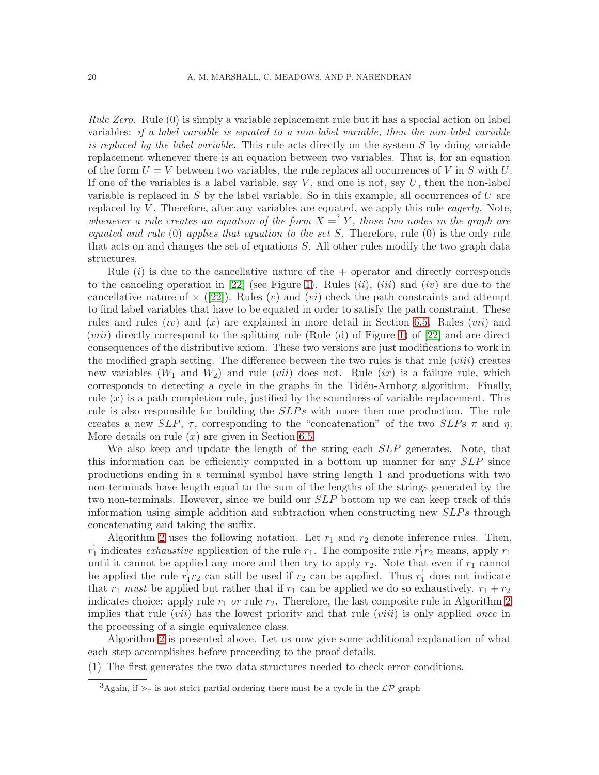Rule Zero. Rule (0) is simply a variable replacement rule but it has a special action on label variables: if a label variable is equated to a non-label variable, then the non-label variable is replaced by the label variable. This rule acts directly on the system  $S$  by doing variable replacement whenever there is an equation between two variables. That is, for an equation of the form  $U = V$  between two variables, the rule replaces all occurrences of V in S with U. If one of the variables is a label variable, say  $V$ , and one is not, say  $U$ , then the non-label variable is replaced in S by the label variable. So in this example, all occurrences of U are replaced by  $V$ . Therefore, after any variables are equated, we apply this rule *eagerly*. Note, whenever a rule creates an equation of the form  $X = Y$ , those two nodes in the graph are equated and rule (0) applies that equation to the set S. Therefore, rule (0) is the only rule that acts on and changes the set of equations S. All other rules modify the two graph data structures.

Rule  $(i)$  is due to the cancellative nature of the  $+$  operator and directly corresponds to the canceling operation in  $[22]$  (see Figure [1\)](#page-4-0). Rules *(ii)*, *(iii)* and *(iv)* are due to the cancellative nature of  $\times$  ([\[22\]](#page-38-0)). Rules (v) and (vi) check the path constraints and attempt to find label variables that have to be equated in order to satisfy the path constraint. These rules and rules  $(iv)$  and  $(x)$  are explained in more detail in Section [6.5.](#page-21-1) Rules  $(vii)$  and (*viii*) directly correspond to the splitting rule (Rule (d) of Figure [1\)](#page-4-0) of  $[22]$  and are direct consequences of the distributive axiom. These two versions are just modifications to work in the modified graph setting. The difference between the two rules is that rule  $(viii)$  creates new variables  $(W_1 \text{ and } W_2)$  and rule  $(vii)$  does not. Rule  $(ix)$  is a failure rule, which corresponds to detecting a cycle in the graphs in the Tidén-Arnborg algorithm. Finally, rule  $(x)$  is a path completion rule, justified by the soundness of variable replacement. This rule is also responsible for building the  $SLPs$  with more then one production. The rule creates a new SLP,  $\tau$ , corresponding to the "concatenation" of the two SLPs  $\pi$  and  $\eta$ . More details on rule  $(x)$  are given in Section [6.5.](#page-21-1)

We also keep and update the length of the string each  $SLP$  generates. Note, that this information can be efficiently computed in a bottom up manner for any SLP since productions ending in a terminal symbol have string length 1 and productions with two non-terminals have length equal to the sum of the lengths of the strings generated by the two non-terminals. However, since we build our  $SLP$  bottom up we can keep track of this information using simple addition and subtraction when constructing new  $SLPs$  through concatenating and taking the suffix.

Algorithm [2](#page-20-0) uses the following notation. Let  $r_1$  and  $r_2$  denote inference rules. Then,  $r_1^{\dagger}$  indicates *exhaustive* application of the rule  $r_1$ . The composite rule  $r_1^{\dagger}r_2$  means, apply  $r_1$ until it cannot be applied any more and then try to apply  $r_2$ . Note that even if  $r_1$  cannot be applied the rule  $r_1^1 r_2$  can still be used if  $r_2$  can be applied. Thus  $r_1^1$  does not indicate that  $r_1$  must be applied but rather that if  $r_1$  can be applied we do so exhaustively.  $r_1 + r_2$ indicates choice: apply rule  $r_1$  or rule  $r_2$ . Therefore, the last composite rule in Algorithm [2](#page-20-0) implies that rule  $(vii)$  has the lowest priority and that rule  $(viii)$  is only applied once in the processing of a single equivalence class.

Algorithm [2](#page-20-0) is presented above. Let us now give some additional explanation of what each step accomplishes before proceeding to the proof details.

(1) The first generates the two data structures needed to check error conditions.

<span id="page-19-0"></span><sup>&</sup>lt;sup>3</sup>Again, if  $\gtrsim_r$  is not strict partial ordering there must be a cycle in the  $\mathcal{LP}$  graph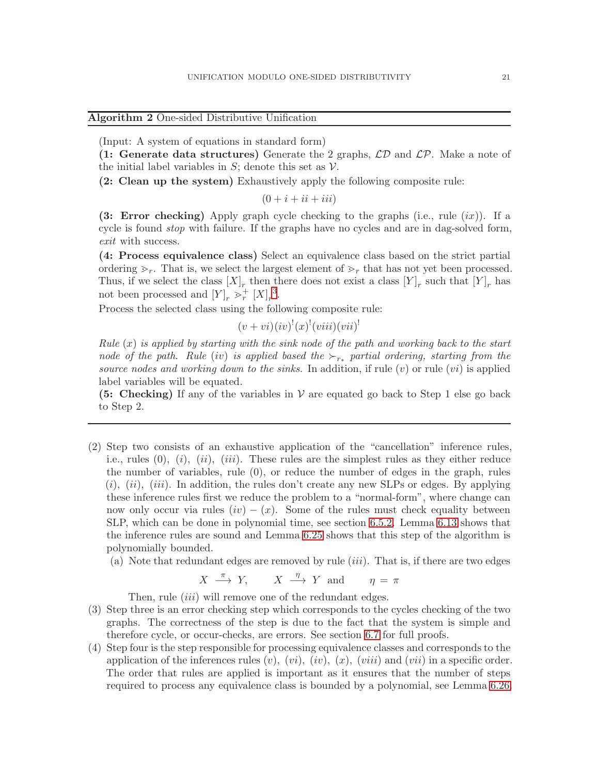## <span id="page-20-0"></span>Algorithm 2 One-sided Distributive Unification

(Input: A system of equations in standard form)

(1: Generate data structures) Generate the 2 graphs,  $\mathcal{LD}$  and  $\mathcal{LP}$ . Make a note of the initial label variables in  $S$ ; denote this set as  $V$ .

(2: Clean up the system) Exhaustively apply the following composite rule:

 $(0 + i + ii + iii)$ 

(3: Error checking) Apply graph cycle checking to the graphs (i.e., rule  $(ix)$ ). If a cycle is found stop with failure. If the graphs have no cycles and are in dag-solved form, exit with success.

(4: Process equivalence class) Select an equivalence class based on the strict partial ordering  $\geq_r$ . That is, we select the largest element of  $\geq_r$  that has not yet been processed. Thus, if we select the class  $[X]_r$  then there does not exist a class  $[Y]_r$  such that  $[Y]_r$  has not been processed and  $[Y]_r \geq r^+ [X]_r^3$  $[Y]_r \geq r^+ [X]_r^3$ .

Process the selected class using the following composite rule:

$$
(v + vi)(iv)^{!}(x)^{!}(viii)(vii)^{!}
$$

Rule  $(x)$  is applied by starting with the sink node of the path and working back to the start node of the path. Rule (iv) is applied based the  $\succ_{r_*}$  partial ordering, starting from the source nodes and working down to the sinks. In addition, if rule  $(v)$  or rule  $(vi)$  is applied label variables will be equated.

**(5: Checking)** If any of the variables in  $V$  are equated go back to Step 1 else go back to Step 2.

- (2) Step two consists of an exhaustive application of the "cancellation" inference rules, i.e., rules  $(0), (i), (ii), (iii)$ . These rules are the simplest rules as they either reduce the number of variables, rule (0), or reduce the number of edges in the graph, rules  $(i)$ ,  $(ii)$ ,  $(iii)$ . In addition, the rules don't create any new SLPs or edges. By applying these inference rules first we reduce the problem to a "normal-form", where change can now only occur via rules  $(iv) - (x)$ . Some of the rules must check equality between SLP, which can be done in polynomial time, see section [6.5.2.](#page-22-0) Lemma [6.13](#page-24-1) shows that the inference rules are sound and Lemma [6.25](#page-27-0) shows that this step of the algorithm is polynomially bounded.
	- (a) Note that redundant edges are removed by rule  $(iii)$ . That is, if there are two edges

$$
X \stackrel{\pi}{\longrightarrow} Y, \qquad X \stackrel{\eta}{\longrightarrow} Y \text{ and } \qquad \eta = \pi
$$

Then, rule *(iii)* will remove one of the redundant edges.

- (3) Step three is an error checking step which corresponds to the cycles checking of the two graphs. The correctness of the step is due to the fact that the system is simple and therefore cycle, or occur-checks, are errors. See section [6.7](#page-25-0) for full proofs.
- (4) Step four is the step responsible for processing equivalence classes and corresponds to the application of the inferences rules  $(v)$ ,  $(vi)$ ,  $(iv)$ ,  $(x)$ ,  $(viii)$  and  $(vii)$  in a specific order. The order that rules are applied is important as it ensures that the number of steps required to process any equivalence class is bounded by a polynomial, see Lemma [6.26.](#page-27-1)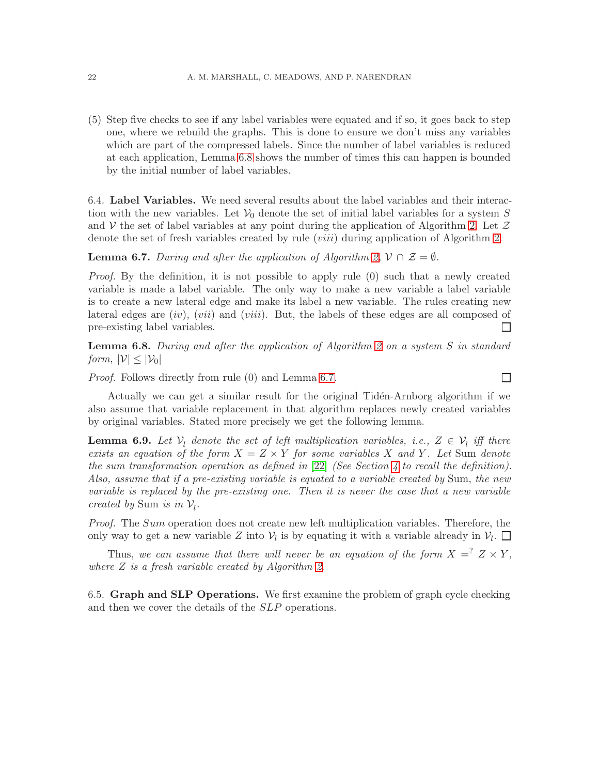(5) Step five checks to see if any label variables were equated and if so, it goes back to step one, where we rebuild the graphs. This is done to ensure we don't miss any variables which are part of the compressed labels. Since the number of label variables is reduced at each application, Lemma [6.8](#page-21-2) shows the number of times this can happen is bounded by the initial number of label variables.

<span id="page-21-0"></span>6.4. Label Variables. We need several results about the label variables and their interaction with the new variables. Let  $\mathcal{V}_0$  denote the set of initial label variables for a system S and V the set of label variables at any point during the application of Algorithm [2.](#page-20-0) Let  $\mathcal Z$ denote the set of fresh variables created by rule (*viii*) during application of Algorithm [2.](#page-20-0)

<span id="page-21-3"></span>**Lemma 6.7.** During and after the application of Algorithm [2,](#page-20-0)  $V \cap \mathcal{Z} = \emptyset$ .

Proof. By the definition, it is not possible to apply rule (0) such that a newly created variable is made a label variable. The only way to make a new variable a label variable is to create a new lateral edge and make its label a new variable. The rules creating new lateral edges are  $(iv)$ ,  $(vii)$  and  $(viii)$ . But, the labels of these edges are all composed of pre-existing label variables.  $\Box$ 

<span id="page-21-2"></span>**Lemma 6.8.** During and after the application of Algorithm [2](#page-20-0) on a system S in standard form,  $|\mathcal{V}| \leq |\mathcal{V}_0|$ 

 $\Box$ 

Proof. Follows directly from rule (0) and Lemma [6.7.](#page-21-3)

Actually we can get a similar result for the original Tidén-Arnborg algorithm if we also assume that variable replacement in that algorithm replaces newly created variables by original variables. Stated more precisely we get the following lemma.

**Lemma 6.9.** Let  $V_l$  denote the set of left multiplication variables, i.e.,  $Z \in V_l$  iff there exists an equation of the form  $X = Z \times Y$  for some variables X and Y. Let Sum denote the sum transformation operation as defined in  $[22]$  (See Section [4](#page-3-0) to recall the definition). Also, assume that if a pre-existing variable is equated to a variable created by Sum, the new variable is replaced by the pre-existing one. Then it is never the case that a new variable created by Sum is in  $V_l$ .

Proof. The Sum operation does not create new left multiplication variables. Therefore, the only way to get a new variable Z into  $V_l$  is by equating it with a variable already in  $V_l$ .

Thus, we can assume that there will never be an equation of the form  $X = \nvert Z \times Y$ , where  $Z$  is a fresh variable created by Algorithm [2](#page-20-0).

<span id="page-21-1"></span>6.5. Graph and SLP Operations. We first examine the problem of graph cycle checking and then we cover the details of the SLP operations.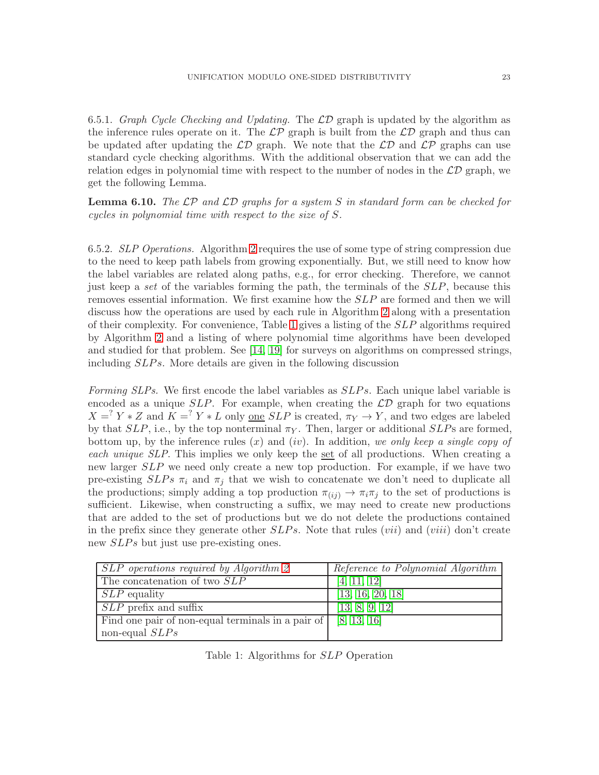6.5.1. Graph Cycle Checking and Updating. The  $\mathcal{LD}$  graph is updated by the algorithm as the inference rules operate on it. The  $\mathcal{LP}$  graph is built from the  $\mathcal{LD}$  graph and thus can be updated after updating the  $\mathcal{LD}$  graph. We note that the  $\mathcal{LD}$  and  $\mathcal{LP}$  graphs can use standard cycle checking algorithms. With the additional observation that we can add the relation edges in polynomial time with respect to the number of nodes in the  $\mathcal{LD}$  graph, we get the following Lemma.

**Lemma 6.10.** The LP and LD graphs for a system S in standard form can be checked for cycles in polynomial time with respect to the size of S.

<span id="page-22-0"></span>6.5.2. SLP Operations. Algorithm [2](#page-20-0) requires the use of some type of string compression due to the need to keep path labels from growing exponentially. But, we still need to know how the label variables are related along paths, e.g., for error checking. Therefore, we cannot just keep a set of the variables forming the path, the terminals of the SLP, because this removes essential information. We first examine how the  $SLP$  are formed and then we will discuss how the operations are used by each rule in Algorithm [2](#page-20-0) along with a presentation of their complexity. For convenience, Table [1](#page-22-1) gives a listing of the SLP algorithms required by Algorithm [2](#page-20-0) and a listing of where polynomial time algorithms have been developed and studied for that problem. See [\[14,](#page-37-11) [19\]](#page-37-12) for surveys on algorithms on compressed strings, including *SLPs*. More details are given in the following discussion

Forming SLPs. We first encode the label variables as SLPs. Each unique label variable is encoded as a unique  $SLP$ . For example, when creating the  $\mathcal{LD}$  graph for two equations  $X = Y * Z$  and  $\overline{K} = Y * L$  only <u>one</u> SLP is created,  $\overline{\pi_Y} \to Y$ , and two edges are labeled by that  $SLP$ , i.e., by the top nonterminal  $\pi_Y$ . Then, larger or additional  $SLP$ s are formed, bottom up, by the inference rules  $(x)$  and  $(iv)$ . In addition, we only keep a single copy of each unique SLP. This implies we only keep the set of all productions. When creating a new larger SLP we need only create a new top production. For example, if we have two pre-existing  $SLPs \pi_i$  and  $\pi_j$  that we wish to concatenate we don't need to duplicate all the productions; simply adding a top production  $\pi(i) \to \pi_i \pi_j$  to the set of productions is sufficient. Likewise, when constructing a suffix, we may need to create new productions that are added to the set of productions but we do not delete the productions contained in the prefix since they generate other  $SLPs$ . Note that rules (*vii*) and (*viii*) don't create new *SLPs* but just use pre-existing ones.

| SLP operations required by Algorithm 2            | Reference to Polynomial Algorithm |
|---------------------------------------------------|-----------------------------------|
| The concatenation of two SLP                      | [4, 11, 12]                       |
| $SLP$ equality                                    | [13, 16, 20, 18]                  |
| $SLP$ prefix and suffix                           | [13, 8, 9, 12]                    |
| Find one pair of non-equal terminals in a pair of | [8, 13, 16]                       |
| non-equal $SLPs$                                  |                                   |

<span id="page-22-1"></span>Table 1: Algorithms for SLP Operation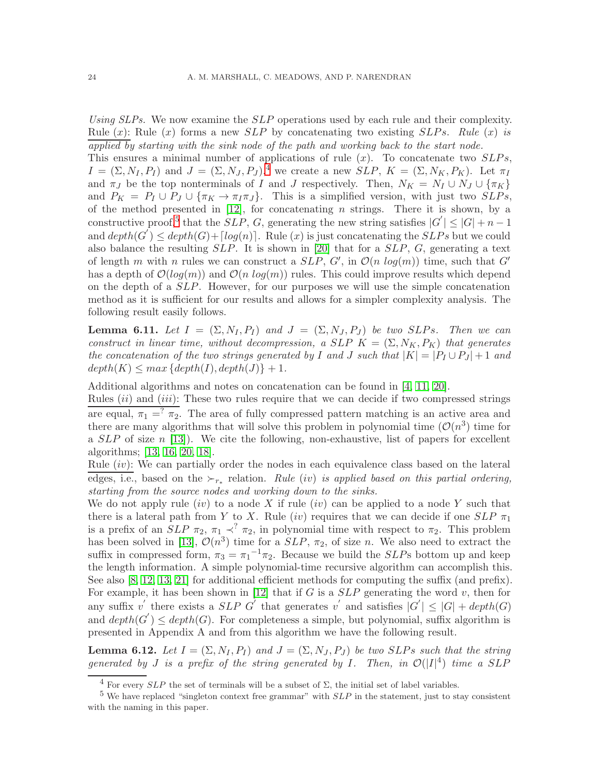Using SLPs. We now examine the SLP operations used by each rule and their complexity. Rule  $(x)$ : Rule  $(x)$  forms a new *SLP* by concatenating two existing *SLPs*. Rule  $(x)$  is applied by starting with the sink node of the path and working back to the start node.

This ensures a minimal number of applications of rule  $(x)$ . To concatenate two  $SLPs$ ,  $I = (\Sigma, N_I, P_I)$  and  $J = (\Sigma, N_J, P_J)$ , we create a new  $SLP$ ,  $K = (\Sigma, N_K, P_K)$ . Let  $\pi_I$ and  $\pi_J$  be the top nonterminals of I and J respectively. Then,  $N_K = N_I \cup N_J \cup {\pi_K}$ and  $P_K = P_I \cup P_J \cup {\{\pi_K \to \pi_I \pi_J\}}$ . This is a simplified version, with just two  $SLPs$ , of the method presented in  $[12]$ , for concatenating n strings. There it is shown, by a constructive proof,<sup>[5](#page-23-1)</sup> that the  $SLP$ , G, generating the new string satisfies  $|G'|\leq |G|+n-1$ and  $depth(G^{T}) \leq depth(G) + [log(n)]$ . Rule (x) is just concatenating the SLPs but we could also balance the resulting  $SLP$ . It is shown in [\[20\]](#page-37-16) that for a  $SLP$ , G, generating a text of length m with n rules we can construct a  $SLP$ ,  $G'$ , in  $\mathcal{O}(n \log(m))$  time, such that  $G'$ has a depth of  $\mathcal{O}(log(m))$  and  $\mathcal{O}(n \log(m))$  rules. This could improve results which depend on the depth of a SLP. However, for our purposes we will use the simple concatenation method as it is sufficient for our results and allows for a simpler complexity analysis. The following result easily follows.

<span id="page-23-2"></span>**Lemma 6.11.** Let  $I = (\Sigma, N_I, P_I)$  and  $J = (\Sigma, N_I, P_I)$  be two SLPs. Then we can construct in linear time, without decompression, a SLP  $K = (\Sigma, N_K, P_K)$  that generates the concatenation of the two strings generated by I and J such that  $|K| = |P_I \cup P_J| + 1$  and  $depth(K) \leq max \{depth(I), depth(J)\} + 1.$ 

Additional algorithms and notes on concatenation can be found in [\[4,](#page-37-13) [11,](#page-37-10) [20\]](#page-37-16).

Rules  $(ii)$  and  $(iii)$ : These two rules require that we can decide if two compressed strings are equal,  $\pi_1 =^? \pi_2$ . The area of fully compressed pattern matching is an active area and there are many algorithms that will solve this problem in polynomial time  $(\mathcal{O}(n^3))$  time for a  $SLP$  of size n [\[13\]](#page-37-14)). We cite the following, non-exhaustive, list of papers for excellent algorithms; [\[13,](#page-37-14) [16,](#page-37-15) [20,](#page-37-16) [18\]](#page-37-17).

Rule  $(iv)$ : We can partially order the nodes in each equivalence class based on the lateral edges, i.e., based on the  $\succ_{r_*}$  relation. Rule (iv) is applied based on this partial ordering, starting from the source nodes and working down to the sinks.

We do not apply rule  $(iv)$  to a node X if rule  $(iv)$  can be applied to a node Y such that there is a lateral path from Y to X. Rule (iv) requires that we can decide if one  $SLP \pi_1$ is a prefix of an  $SLP$   $\pi_2$ ,  $\pi_1 \prec^? \pi_2$ , in polynomial time with respect to  $\pi_2$ . This problem has been solved in [\[13\]](#page-37-14),  $\mathcal{O}(n^3)$  time for a  $SLP$ ,  $\pi_2$ , of size n. We also need to extract the suffix in compressed form,  $\pi_3 = \pi_1^{-1} \pi_2$ . Because we build the *SLP*s bottom up and keep the length information. A simple polynomial-time recursive algorithm can accomplish this. See also [\[8,](#page-37-18) [12,](#page-37-4) [13,](#page-37-14) [21\]](#page-37-19) for additional efficient methods for computing the suffix (and prefix). For example, it has been shown in  $[12]$  that if G is a  $SLP$  generating the word v, then for any suffix v' there exists a  $SLP$  G' that generates v' and satisfies  $|G'| \leq |G| + depth(G)$ and  $depth(G') \leq depth(G)$ . For completeness a simple, but polynomial, suffix algorithm is presented in Appendix A and from this algorithm we have the following result.

<span id="page-23-3"></span>**Lemma 6.12.** Let  $I = (\Sigma, N_I, P_I)$  and  $J = (\Sigma, N_J, P_J)$  be two SLPs such that the string generated by J is a prefix of the string generated by I. Then, in  $\mathcal{O}(|I|^4)$  time a SLP

<span id="page-23-0"></span> $\overline{4 \text{ For}}$  every  $SLP$  the set of terminals will be a subset of  $\Sigma$ , the initial set of label variables.

<span id="page-23-1"></span><sup>&</sup>lt;sup>5</sup> We have replaced "singleton context free grammar" with  $SLP$  in the statement, just to stay consistent with the naming in this paper.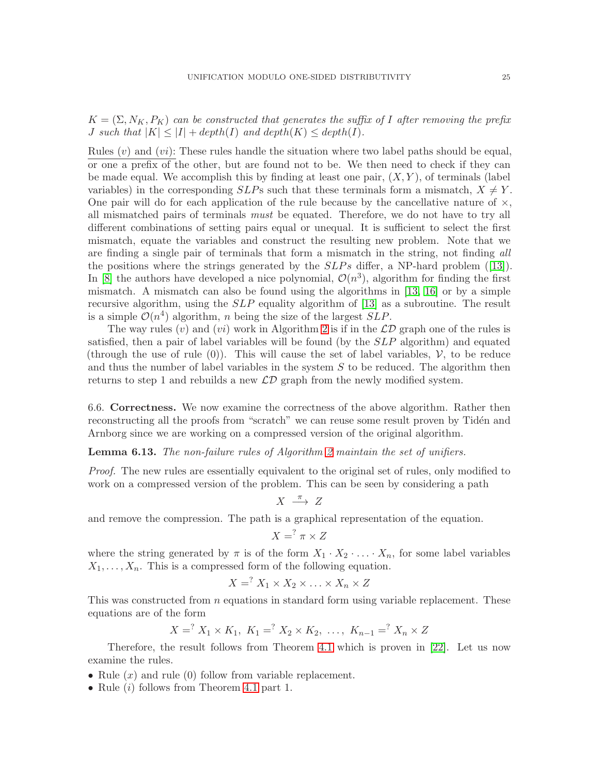$K = (\Sigma, N_K, P_K)$  can be constructed that generates the suffix of I after removing the prefix *J* such that  $|K| \leq |I| + depth(I)$  and  $depth(K) \leq depth(I)$ .

Rules  $(v)$  and  $(v_i)$ : These rules handle the situation where two label paths should be equal. or one a prefix of the other, but are found not to be. We then need to check if they can be made equal. We accomplish this by finding at least one pair,  $(X, Y)$ , of terminals (label variables) in the corresponding  $SLP$ s such that these terminals form a mismatch,  $X \neq Y$ . One pair will do for each application of the rule because by the cancellative nature of  $\times$ , all mismatched pairs of terminals must be equated. Therefore, we do not have to try all different combinations of setting pairs equal or unequal. It is sufficient to select the first mismatch, equate the variables and construct the resulting new problem. Note that we are finding a single pair of terminals that form a mismatch in the string, not finding all thepositions where the strings generated by the  $SLPs$  differ, a NP-hard problem ([\[13\]](#page-37-14)). In [\[8\]](#page-37-18) the authors have developed a nice polynomial,  $\mathcal{O}(n^3)$ , algorithm for finding the first mismatch. A mismatch can also be found using the algorithms in [\[13,](#page-37-14) [16\]](#page-37-15) or by a simple recursive algorithm, using the  $SLP$  equality algorithm of [\[13\]](#page-37-14) as a subroutine. The result is a simple  $\mathcal{O}(n^4)$  algorithm, n being the size of the largest SLP.

The way rules (v) and (vi) work in Algorithm [2](#page-20-0) is if in the  $\mathcal{LD}$  graph one of the rules is satisfied, then a pair of label variables will be found (by the SLP algorithm) and equated (through the use of rule  $(0)$ ). This will cause the set of label variables,  $\mathcal{V}$ , to be reduce and thus the number of label variables in the system  $S$  to be reduced. The algorithm then returns to step 1 and rebuilds a new  $\mathcal{LD}$  graph from the newly modified system.

<span id="page-24-0"></span>6.6. Correctness. We now examine the correctness of the above algorithm. Rather then reconstructing all the proofs from "scratch" we can reuse some result proven by Tidén and Arnborg since we are working on a compressed version of the original algorithm.

<span id="page-24-1"></span>**Lemma 6.13.** The non-failure rules of Algorithm [2](#page-20-0) maintain the set of unifiers.

Proof. The new rules are essentially equivalent to the original set of rules, only modified to work on a compressed version of the problem. This can be seen by considering a path

$$
X\ \stackrel{\pi}{\longrightarrow}\ Z
$$

and remove the compression. The path is a graphical representation of the equation.

$$
X = \n\begin{cases} \n\pi \times Z \n\end{cases}
$$

where the string generated by  $\pi$  is of the form  $X_1 \cdot X_2 \cdot \ldots \cdot X_n$ , for some label variables  $X_1, \ldots, X_n$ . This is a compressed form of the following equation.

$$
X = \n\begin{cases} \nX_1 \times X_2 \times \ldots \times X_n \times Z \n\end{cases}
$$

This was constructed from  $n$  equations in standard form using variable replacement. These equations are of the form

$$
X = Y_1 \times K_1, K_1 = Y_2 \times K_2, \ldots, K_{n-1} = Y_n \times Z
$$

Therefore, the result follows from Theorem [4.1](#page-4-2) which is proven in [\[22\]](#page-38-0). Let us now examine the rules.

- Rule  $(x)$  and rule  $(0)$  follow from variable replacement.
- Rule  $(i)$  follows from Theorem [4.1](#page-4-2) part 1.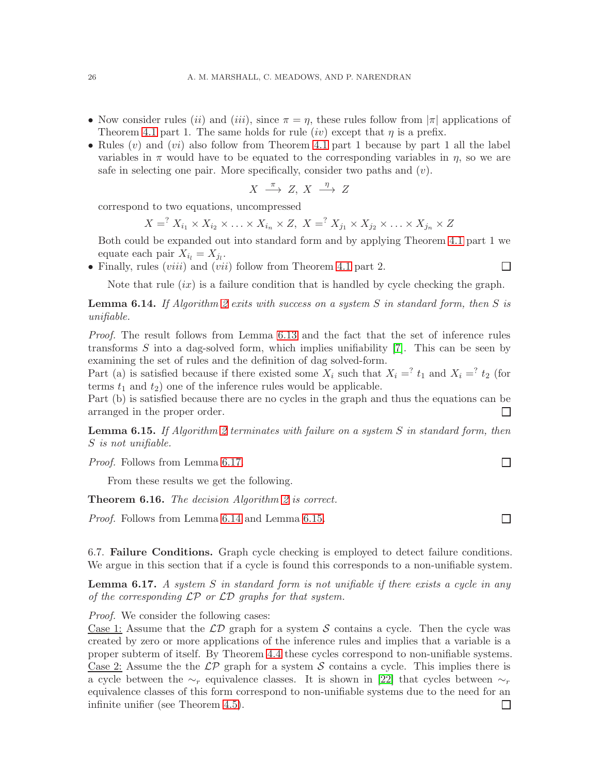- Now consider rules (ii) and (iii), since  $\pi = \eta$ , these rules follow from  $|\pi|$  applications of Theorem [4.1](#page-4-2) part 1. The same holds for rule  $(iv)$  except that  $\eta$  is a prefix.
- Rules  $(v)$  and  $(vi)$  also follow from Theorem [4.1](#page-4-2) part 1 because by part 1 all the label variables in  $\pi$  would have to be equated to the corresponding variables in  $\eta$ , so we are safe in selecting one pair. More specifically, consider two paths and  $(v)$ .

$$
X \stackrel{\pi}{\longrightarrow} Z, X \stackrel{\eta}{\longrightarrow} Z
$$

correspond to two equations, uncompressed

$$
X = X_{i_1} \times X_{i_2} \times \ldots \times X_{i_n} \times Z, \ X = X_{j_1} \times X_{j_2} \times \ldots \times X_{j_n} \times Z
$$

Both could be expanded out into standard form and by applying Theorem [4.1](#page-4-2) part 1 we equate each pair  $X_{i_l} = X_{j_l}$ .

• Finally, rules  $(viii)$  and  $(vii)$  follow from Theorem [4.1](#page-4-2) part 2.

Note that rule  $(ix)$  is a failure condition that is handled by cycle checking the graph.

<span id="page-25-2"></span>**Lemma 6.14.** If Algorithm [2](#page-20-0) exits with success on a system S in standard form, then S is unifiable.

Proof. The result follows from Lemma [6.13](#page-24-1) and the fact that the set of inference rules transforms  $S$  into a dag-solved form, which implies unifiability  $[7]$ . This can be seen by examining the set of rules and the definition of dag solved-form.

Part (a) is satisfied because if there existed some  $X_i$  such that  $X_i = i t_1$  and  $X_i = i t_2$  (for terms  $t_1$  and  $t_2$ ) one of the inference rules would be applicable.

Part (b) is satisfied because there are no cycles in the graph and thus the equations can be arranged in the proper order. П

<span id="page-25-3"></span>**Lemma 6.15.** If Algorithm [2](#page-20-0) terminates with failure on a system  $S$  in standard form, then S is not unifiable.

Proof. Follows from Lemma [6.17.](#page-25-1)

From these results we get the following.

**Theorem 6.16.** The decision Algorithm  $2$  is correct.

Proof. Follows from Lemma [6.14](#page-25-2) and Lemma [6.15.](#page-25-3)

<span id="page-25-0"></span>6.7. Failure Conditions. Graph cycle checking is employed to detect failure conditions. We argue in this section that if a cycle is found this corresponds to a non-unifiable system.

<span id="page-25-1"></span>**Lemma 6.17.** A system S in standard form is not unifiable if there exists a cycle in any of the corresponding  $\mathcal{LP}$  or  $\mathcal{LD}$  graphs for that system.

Proof. We consider the following cases:

Case 1: Assume that the  $\mathcal{LD}$  graph for a system S contains a cycle. Then the cycle was created by zero or more applications of the inference rules and implies that a variable is a proper subterm of itself. By Theorem [4.4](#page-5-2) these cycles correspond to non-unifiable systems. Case 2: Assume the the  $\mathcal{LP}$  graph for a system S contains a cycle. This implies there is a cycle between the  $\sim_r$  equivalence classes. It is shown in [\[22\]](#page-38-0) that cycles between  $\sim_r$ equivalence classes of this form correspond to non-unifiable systems due to the need for an infinite unifier (see Theorem [4.5\)](#page-5-3). $\Box$ 

 $\Box$ 

 $\Box$ 

 $\Box$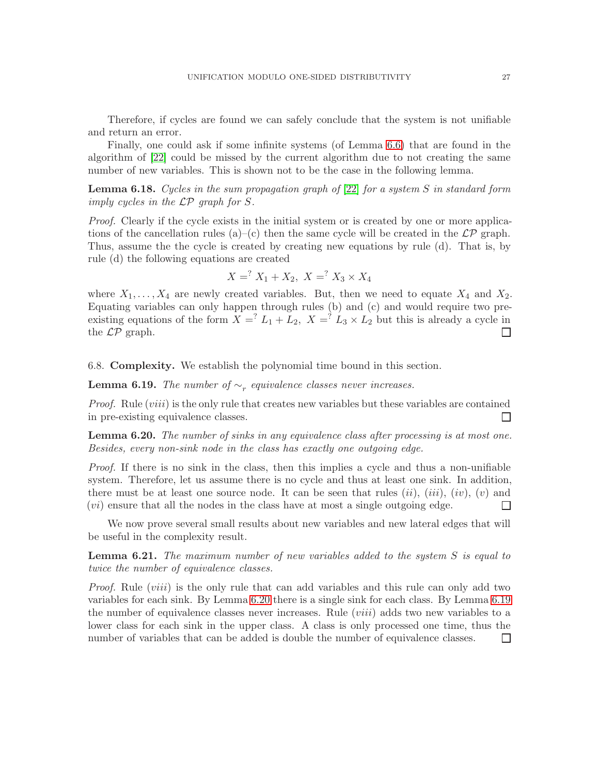Therefore, if cycles are found we can safely conclude that the system is not unifiable and return an error.

Finally, one could ask if some infinite systems (of Lemma [6.6\)](#page-16-1) that are found in the algorithm of [\[22\]](#page-38-0) could be missed by the current algorithm due to not creating the same number of new variables. This is shown not to be the case in the following lemma.

**Lemma 6.18.** Cycles in the sum propagation graph of  $[22]$  for a system S in standard form imply cycles in the LP graph for S.

Proof. Clearly if the cycle exists in the initial system or is created by one or more applications of the cancellation rules (a)–(c) then the same cycle will be created in the  $\mathcal{LP}$  graph. Thus, assume the the cycle is created by creating new equations by rule (d). That is, by rule (d) the following equations are created

$$
X = ? X1 + X2, X = ? X3 × X4
$$

where  $X_1, \ldots, X_4$  are newly created variables. But, then we need to equate  $X_4$  and  $X_2$ . Equating variables can only happen through rules (b) and (c) and would require two preexisting equations of the form  $X =^? L_1 + L_2$ ,  $X =^? L_3 \times L_2$  but this is already a cycle in the  $\mathcal{LP}$  graph. П

<span id="page-26-0"></span>6.8. Complexity. We establish the polynomial time bound in this section.

<span id="page-26-2"></span>**Lemma 6.19.** The number of  $\sim_r$  equivalence classes never increases.

Proof. Rule (viii) is the only rule that creates new variables but these variables are contained in pre-existing equivalence classes. П

<span id="page-26-1"></span>**Lemma 6.20.** The number of sinks in any equivalence class after processing is at most one. Besides, every non-sink node in the class has exactly one outgoing edge.

Proof. If there is no sink in the class, then this implies a cycle and thus a non-unifiable system. Therefore, let us assume there is no cycle and thus at least one sink. In addition, there must be at least one source node. It can be seen that rules  $(ii)$ ,  $(iii)$ ,  $(iv)$ ,  $(v)$  and (vi) ensure that all the nodes in the class have at most a single outgoing edge.  $\Box$ 

We now prove several small results about new variables and new lateral edges that will be useful in the complexity result.

<span id="page-26-3"></span>**Lemma 6.21.** The maximum number of new variables added to the system  $S$  is equal to twice the number of equivalence classes.

Proof. Rule *(viii)* is the only rule that can add variables and this rule can only add two variables for each sink. By Lemma [6.20](#page-26-1) there is a single sink for each class. By Lemma [6.19](#page-26-2) the number of equivalence classes never increases. Rule  $(viii)$  adds two new variables to a lower class for each sink in the upper class. A class is only processed one time, thus the number of variables that can be added is double the number of equivalence classes. $\Box$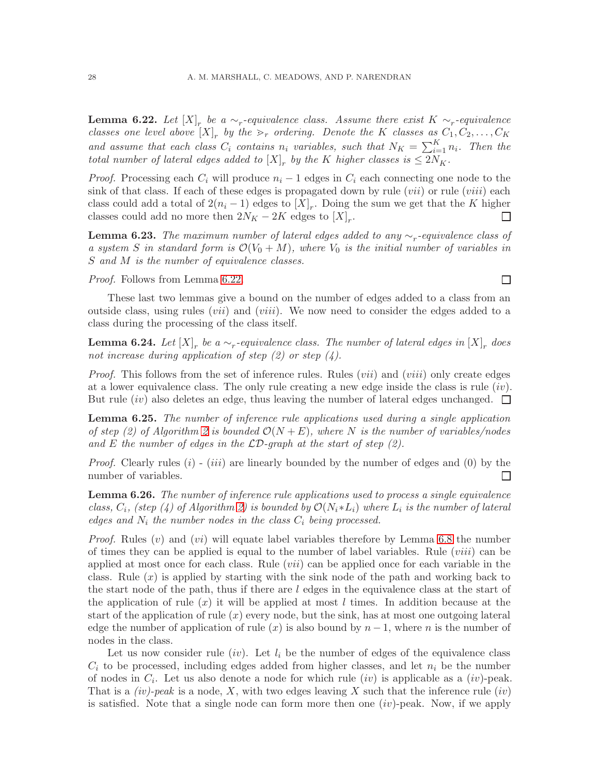<span id="page-27-2"></span>**Lemma 6.22.** Let  $[X]_r$  be a  $\sim_r$ -equivalence class. Assume there exist  $K \sim_r$ -equivalence classes one level above  $[X]_r$  by the  $\gt_r$  ordering. Denote the K classes as  $C_1, C_2, \ldots, C_K$ and assume that each class  $C_i$  contains  $n_i$  variables, such that  $N_K = \sum_{i=1}^K n_i$ . Then the total number of lateral edges added to  $[X]_r$  by the K higher classes is  $\leq 2N_K$ .

*Proof.* Processing each  $C_i$  will produce  $n_i - 1$  edges in  $C_i$  each connecting one node to the sink of that class. If each of these edges is propagated down by rule  $(vii)$  or rule  $(viii)$  each class could add a total of  $2(n_i - 1)$  edges to  $[X]_r$ . Doing the sum we get that the K higher classes could add no more then  $2N_K - 2K$  edges to  $[X]_r$ . П

<span id="page-27-3"></span>**Lemma 6.23.** The maximum number of lateral edges added to any  $\sim_r$ -equivalence class of a system S in standard form is  $\mathcal{O}(V_0 + M)$ , where  $V_0$  is the initial number of variables in S and M is the number of equivalence classes.

Proof. Follows from Lemma [6.22.](#page-27-2)

These last two lemmas give a bound on the number of edges added to a class from an outside class, using rules (*vii*) and (*viii*). We now need to consider the edges added to a class during the processing of the class itself.

**Lemma 6.24.** Let  $[X]_r$  be a  $\sim_r$ -equivalence class. The number of lateral edges in  $[X]_r$  does not increase during application of step  $(2)$  or step  $(4)$ .

*Proof.* This follows from the set of inference rules. Rules (*vii*) and (*viii*) only create edges at a lower equivalence class. The only rule creating a new edge inside the class is rule  $(iv)$ . But rule *(iv)* also deletes an edge, thus leaving the number of lateral edges unchanged.  $\square$ 

<span id="page-27-0"></span>**Lemma 6.25.** The number of inference rule applications used during a single application of step (2) of Algorithm [2](#page-20-0) is bounded  $\mathcal{O}(N+E)$ , where N is the number of variables/nodes and E the number of edges in the  $\mathcal{LD}\text{-}graph$  at the start of step (2).

*Proof.* Clearly rules  $(i)$  -  $(iii)$  are linearly bounded by the number of edges and  $(0)$  by the number of variables.  $\Box$ 

<span id="page-27-1"></span>**Lemma 6.26.** The number of inference rule applications used to process a single equivalence class,  $C_i$ , (step (4) of Algorithm [2\)](#page-20-0) is bounded by  $\mathcal{O}(N_i * L_i)$  where  $L_i$  is the number of lateral edges and  $N_i$  the number nodes in the class  $C_i$  being processed.

*Proof.* Rules  $(v)$  and  $(vi)$  will equate label variables therefore by Lemma [6.8](#page-21-2) the number of times they can be applied is equal to the number of label variables. Rule  $(viii)$  can be applied at most once for each class. Rule  $(vii)$  can be applied once for each variable in the class. Rule  $(x)$  is applied by starting with the sink node of the path and working back to the start node of the path, thus if there are  $l$  edges in the equivalence class at the start of the application of rule  $(x)$  it will be applied at most l times. In addition because at the start of the application of rule  $(x)$  every node, but the sink, has at most one outgoing lateral edge the number of application of rule  $(x)$  is also bound by  $n-1$ , where n is the number of nodes in the class.

Let us now consider rule (iv). Let  $l_i$  be the number of edges of the equivalence class  $C_i$  to be processed, including edges added from higher classes, and let  $n_i$  be the number of nodes in  $C_i$ . Let us also denote a node for which rule  $(iv)$  is applicable as a  $(iv)$ -peak. That is a  $(iv)$ -peak is a node, X, with two edges leaving X such that the inference rule  $(iv)$ is satisfied. Note that a single node can form more then one  $(iv)$ -peak. Now, if we apply

 $\Box$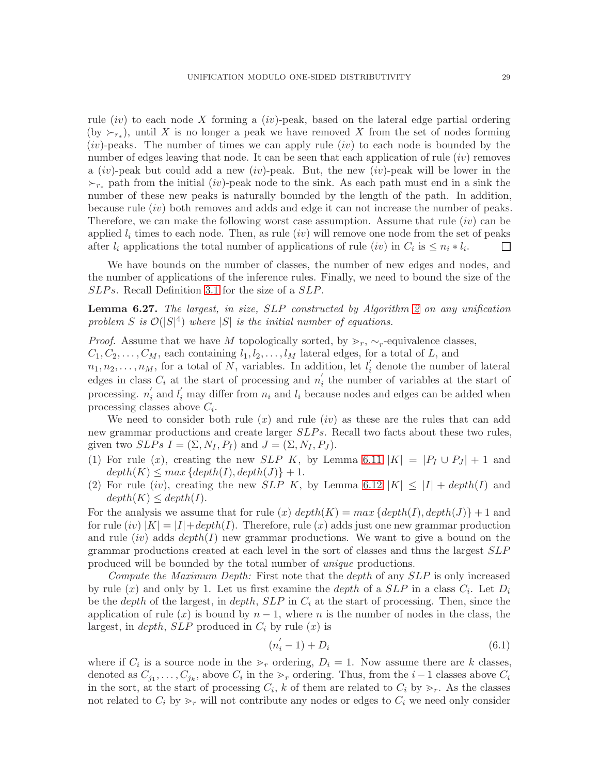rule  $(iv)$  to each node X forming a  $(iv)$ -peak, based on the lateral edge partial ordering (by  $\succ_{r_*}$ ), until X is no longer a peak we have removed X from the set of nodes forming  $(iv)$ -peaks. The number of times we can apply rule  $(iv)$  to each node is bounded by the number of edges leaving that node. It can be seen that each application of rule  $(iv)$  removes a *(iv)*-peak but could add a new *(iv)*-peak. But, the new *(iv)*-peak will be lower in the  $\succ_{r^*}$  path from the initial (iv)-peak node to the sink. As each path must end in a sink the number of these new peaks is naturally bounded by the length of the path. In addition, because rule (iv) both removes and adds and edge it can not increase the number of peaks. Therefore, we can make the following worst case assumption. Assume that rule  $(iv)$  can be applied  $l_i$  times to each node. Then, as rule  $(iv)$  will remove one node from the set of peaks after  $l_i$  applications the total number of applications of rule  $(iv)$  in  $C_i$  is  $\leq n_i * l_i$ .  $\Box$ 

We have bounds on the number of classes, the number of new edges and nodes, and the number of applications of the inference rules. Finally, we need to bound the size of the  $SLPs$ . Recall Definition [3.1](#page-3-1) for the size of a  $SLP$ .

<span id="page-28-1"></span>**Lemma 6.27.** The largest, in size,  $SLP$  constructed by Algorithm [2](#page-20-0) on any unification problem S is  $\mathcal{O}(|S|^4)$  where  $|S|$  is the initial number of equations.

*Proof.* Assume that we have M topologically sorted, by  $\gt_r$ ,  $\sim_r$ -equivalence classes,

 $C_1, C_2, \ldots, C_M$ , each containing  $l_1, l_2, \ldots, l_M$  lateral edges, for a total of L, and

 $n_1, n_2, \ldots, n_M$ , for a total of N, variables. In addition, let  $l'_i$  $i$  denote the number of lateral edges in class  $C_i$  at the start of processing and  $n'_i$  $i<sub>i</sub>$  the number of variables at the start of processing.  $n_i'$  $i_i$  and  $l_i'$  may differ from  $n_i$  and  $l_i$  because nodes and edges can be added when processing classes above  $C_i$ .

We need to consider both rule  $(x)$  and rule  $(iv)$  as these are the rules that can add new grammar productions and create larger  $SLPs$ . Recall two facts about these two rules, given two  $SLPs I = (\Sigma, N_I, P_I)$  and  $J = (\Sigma, N_I, P_J)$ .

- (1) For rule (x), creating the new SLP K, by Lemma [6.11](#page-23-2)  $|K| = |P_I \cup P_J| + 1$  and  $depth(K) \leq max \{depth(I), depth(J)\} + 1.$
- (2) For rule (iv), creating the new SLP K, by Lemma [6.12](#page-23-3)  $|K| \leq |I| + depth(I)$  and  $depth(K) \leq depth(I).$

For the analysis we assume that for rule (x)  $depth(K) = max{depth(I), depth(J)} + 1$  and for rule  $(iv)$   $|K| = |I| + depth(I)$ . Therefore, rule  $(x)$  adds just one new grammar production and rule  $(iv)$  adds  $depth(I)$  new grammar productions. We want to give a bound on the grammar productions created at each level in the sort of classes and thus the largest SLP produced will be bounded by the total number of unique productions.

Compute the Maximum Depth: First note that the depth of any  $SLP$  is only increased by rule  $(x)$  and only by 1. Let us first examine the *depth* of a  $SLP$  in a class  $C_i$ . Let  $D_i$ be the depth of the largest, in depth,  $SLP$  in  $C_i$  at the start of processing. Then, since the application of rule  $(x)$  is bound by  $n-1$ , where n is the number of nodes in the class, the largest, in *depth*,  $SLP$  produced in  $C_i$  by rule  $(x)$  is

<span id="page-28-0"></span>
$$
(n_i' - 1) + D_i \tag{6.1}
$$

where if  $C_i$  is a source node in the  $\gt_r$  ordering,  $D_i = 1$ . Now assume there are k classes, denoted as  $C_{j_1}, \ldots, C_{j_k}$ , above  $C_i$  in the  $\gg_r$  ordering. Thus, from the  $i-1$  classes above  $C_i$ in the sort, at the start of processing  $C_i$ , k of them are related to  $C_i$  by  $\geq_r$ . As the classes not related to  $C_i$  by  $\gg_r$  will not contribute any nodes or edges to  $C_i$  we need only consider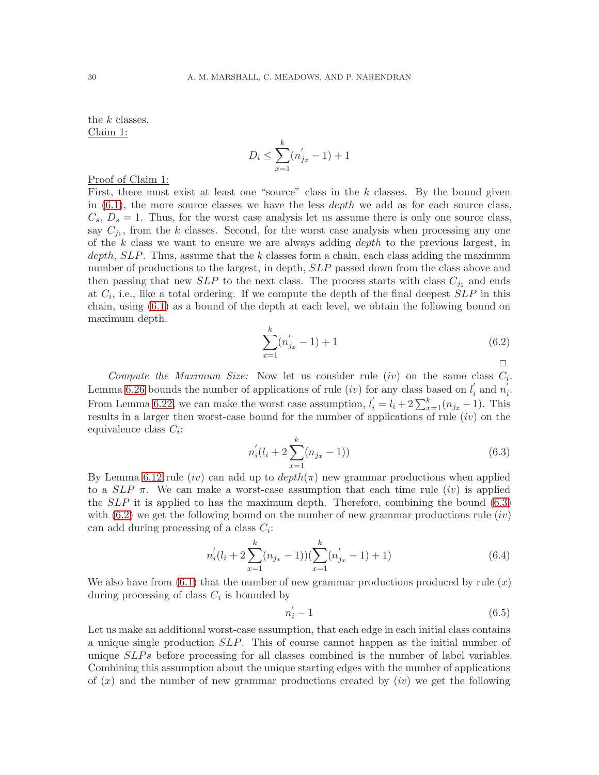the k classes. Claim 1:

$$
D_i \le \sum_{x=1}^k (n'_{j_x} - 1) + 1
$$

## Proof of Claim 1:

First, there must exist at least one "source" class in the  $k$  classes. By the bound given in  $(6.1)$ , the more source classes we have the less *depth* we add as for each source class,  $C_s$ ,  $D_s = 1$ . Thus, for the worst case analysis let us assume there is only one source class, say  $C_{j_1}$ , from the k classes. Second, for the worst case analysis when processing any one of the  $k$  class we want to ensure we are always adding  $depth$  to the previous largest, in  $depth, SLP$ . Thus, assume that the k classes form a chain, each class adding the maximum number of productions to the largest, in depth, SLP passed down from the class above and then passing that new  $SLP$  to the next class. The process starts with class  $C_{j_1}$  and ends at  $C_i$ , i.e., like a total ordering. If we compute the depth of the final deepest  $SLP$  in this chain, using [\(6.1\)](#page-28-0) as a bound of the depth at each level, we obtain the following bound on maximum depth.

<span id="page-29-1"></span>
$$
\sum_{x=1}^{k} (n'_{j_x} - 1) + 1 \tag{6.2}
$$

Compute the Maximum Size: Now let us consider rule  $(iv)$  on the same class  $C_i$ . Lemma [6.26](#page-27-1) bounds the number of applications of rule *(iv)* for any class based on  $l_i'$  $i$  and  $n_i'$ i . From Lemma [6.22,](#page-27-2) we can make the worst case assumption,  $l'_{i} = l_{i} + 2 \sum_{x=1}^{k} (n_{j_x} - 1)$ . This results in a larger then worst-case bound for the number of applications of rule  $(iv)$  on the equivalence class  $C_i$ :

<span id="page-29-0"></span>
$$
n'_{i}(l_{i} + 2\sum_{x=1}^{k}(n_{j_{x}} - 1))
$$
\n(6.3)

By Lemma [6.12](#page-23-3) rule (iv) can add up to  $depth(\pi)$  new grammar productions when applied to a  $SLP \pi$ . We can make a worst-case assumption that each time rule (iv) is applied the  $SLP$  it is applied to has the maximum depth. Therefore, combining the bound  $(6.3)$ with  $(6.2)$  we get the following bound on the number of new grammar productions rule  $(iv)$ can add during processing of a class  $C_i$ :

$$
n'_{i}(l_{i} + 2\sum_{x=1}^{k}(n_{j_{x}} - 1))(\sum_{x=1}^{k}(n'_{j_{x}} - 1) + 1)
$$
\n(6.4)

We also have from  $(6.1)$  that the number of new grammar productions produced by rule  $(x)$ during processing of class  $C_i$  is bounded by

$$
n_i' - 1 \tag{6.5}
$$

Let us make an additional worst-case assumption, that each edge in each initial class contains a unique single production SLP. This of course cannot happen as the initial number of unique  $SLPs$  before processing for all classes combined is the number of label variables. Combining this assumption about the unique starting edges with the number of applications of  $(x)$  and the number of new grammar productions created by  $(iv)$  we get the following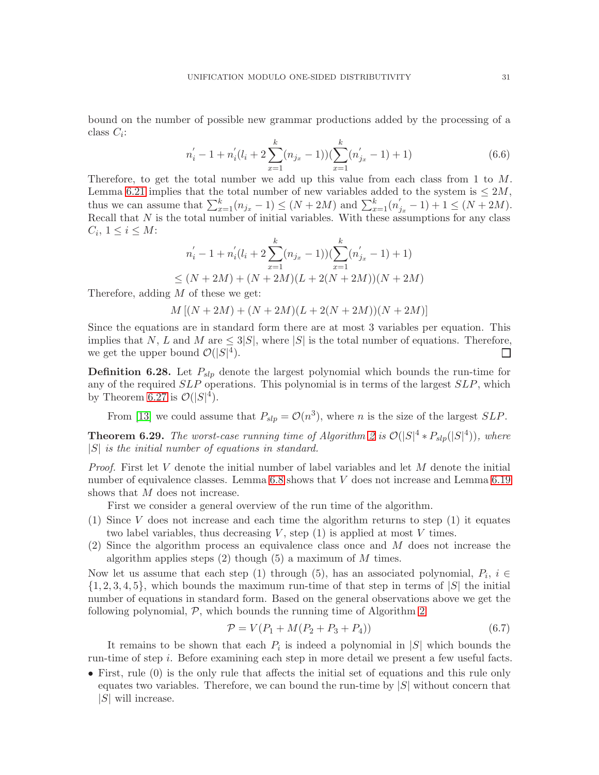bound on the number of possible new grammar productions added by the processing of a class  $C_i$ :

$$
n'_{i} - 1 + n'_{i}(l_{i} + 2\sum_{x=1}^{k} (n_{j_{x}} - 1))(\sum_{x=1}^{k} (n'_{j_{x}} - 1) + 1)
$$
\n(6.6)

Therefore, to get the total number we add up this value from each class from 1 to M. Lemma [6.21](#page-26-3) implies that the total number of new variables added to the system is  $\leq 2M$ , thus we can assume that  $\sum_{x=1}^{k} (n_{j_x} - 1) \le (N + 2M)$  and  $\sum_{x=1}^{k} (n'_{j_x} - 1) + 1 \le (N + 2M)$ . Recall that  $N$  is the total number of initial variables. With these assumptions for any class  $C_i, 1 \leq i \leq M$ :

$$
n'_{i} - 1 + n'_{i}(l_{i} + 2\sum_{x=1}^{k} (n_{j_{x}} - 1))(\sum_{x=1}^{k} (n'_{j_{x}} - 1) + 1)
$$
  
\n
$$
\leq (N + 2M) + (N + 2M)(L + 2(N + 2M))(N + 2M)
$$

Therefore, adding  $M$  of these we get:

 $M [(N+2M) + (N+2M)(L+2(N+2M))(N+2M)]$ 

Since the equations are in standard form there are at most 3 variables per equation. This implies that N, L and M are  $\leq 3|S|$ , where |S| is the total number of equations. Therefore, we get the upper bound  $\mathcal{O}(|S|^4)$ .  $\Box$ 

**Definition 6.28.** Let  $P_{slp}$  denote the largest polynomial which bounds the run-time for any of the required SLP operations. This polynomial is in terms of the largest SLP, which by Theorem [6.27](#page-28-1) is  $\mathcal{O}(|S|^4)$ .

From [\[13\]](#page-37-14) we could assume that  $P_{slp} = \mathcal{O}(n^3)$ , where *n* is the size of the largest *SLP*.

**Theorem 6.29.** The worst-case running time of Algorithm [2](#page-20-0) is  $\mathcal{O}(|S|^4 * P_{slp}(|S|^4))$ , where  $|S|$  is the initial number of equations in standard.

Proof. First let V denote the initial number of label variables and let M denote the initial number of equivalence classes. Lemma [6.8](#page-21-2) shows that V does not increase and Lemma [6.19](#page-26-2) shows that M does not increase.

First we consider a general overview of the run time of the algorithm.

- (1) Since V does not increase and each time the algorithm returns to step (1) it equates two label variables, thus decreasing  $V$ , step  $(1)$  is applied at most  $V$  times.
- (2) Since the algorithm process an equivalence class once and M does not increase the algorithm applies steps  $(2)$  though  $(5)$  a maximum of M times.

Now let us assume that each step (1) through (5), has an associated polynomial,  $P_i$ ,  $i \in$  $\{1, 2, 3, 4, 5\}$ , which bounds the maximum run-time of that step in terms of  $|S|$  the initial number of equations in standard form. Based on the general observations above we get the following polynomial,  $P$ , which bounds the running time of Algorithm [2](#page-20-0)

<span id="page-30-0"></span>
$$
\mathcal{P} = V(P_1 + M(P_2 + P_3 + P_4))
$$
\n(6.7)

It remains to be shown that each  $P_i$  is indeed a polynomial in |S| which bounds the run-time of step i. Before examining each step in more detail we present a few useful facts.

• First, rule (0) is the only rule that affects the initial set of equations and this rule only equates two variables. Therefore, we can bound the run-time by  $|S|$  without concern that  $|S|$  will increase.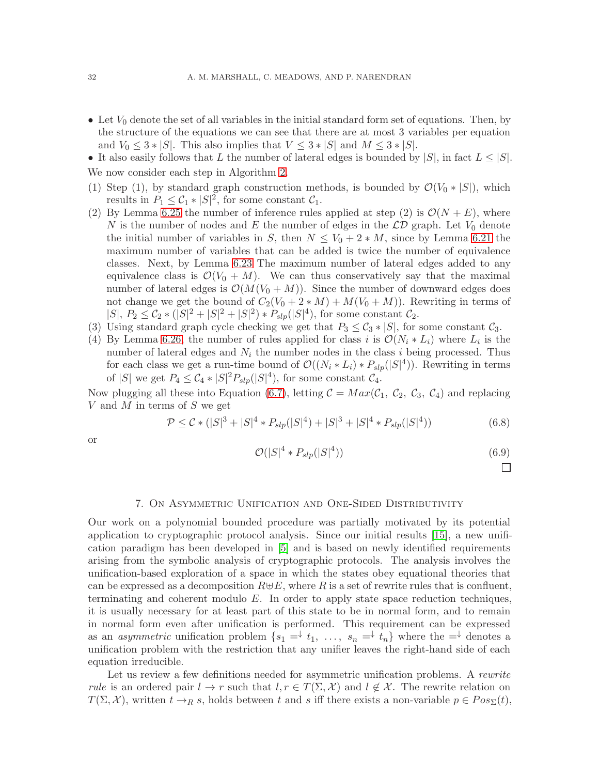• Let  $V_0$  denote the set of all variables in the initial standard form set of equations. Then, by the structure of the equations we can see that there are at most 3 variables per equation and  $V_0 \leq 3 * |S|$ . This also implies that  $V \leq 3 * |S|$  and  $M \leq 3 * |S|$ .

• It also easily follows that L the number of lateral edges is bounded by  $|S|$ , in fact  $L \leq |S|$ . We now consider each step in Algorithm [2.](#page-20-0)

- (1) Step (1), by standard graph construction methods, is bounded by  $\mathcal{O}(V_0 * |S|)$ , which results in  $P_1 \leq C_1 * |S|^2$ , for some constant  $C_1$ .
- (2) By Lemma [6.25](#page-27-0) the number of inference rules applied at step (2) is  $\mathcal{O}(N+E)$ , where N is the number of nodes and E the number of edges in the  $\mathcal{LD}$  graph. Let  $V_0$  denote the initial number of variables in S, then  $N \leq V_0 + 2 * M$ , since by Lemma [6.21](#page-26-3) the maximum number of variables that can be added is twice the number of equivalence classes. Next, by Lemma [6.23](#page-27-3) The maximum number of lateral edges added to any equivalence class is  $\mathcal{O}(V_0 + M)$ . We can thus conservatively say that the maximal number of lateral edges is  $\mathcal{O}(M(V_0 + M))$ . Since the number of downward edges does not change we get the bound of  $C_2(V_0 + 2 * M) + M(V_0 + M)$ . Rewriting in terms of  $|S|, P_2 \leq C_2 * (|S|^2 + |S|^2 + |S|^2) * P_{slp}(|S|^4)$ , for some constant  $C_2$ .
- (3) Using standard graph cycle checking we get that  $P_3 \leq C_3 * |S|$ , for some constant  $C_3$ .
- (4) By Lemma [6.26,](#page-27-1) the number of rules applied for class i is  $\mathcal{O}(N_i * L_i)$  where  $L_i$  is the number of lateral edges and  $N_i$  the number nodes in the class i being processed. Thus for each class we get a run-time bound of  $\mathcal{O}((N_i * L_i) * P_{slp}(|S|^4))$ . Rewriting in terms of |S| we get  $P_4 \leq C_4 * |S|^2 P_{slp}(|S|^4)$ , for some constant  $C_4$ .

Now plugging all these into Equation [\(6.7\)](#page-30-0), letting  $C = Max(\mathcal{C}_1, \mathcal{C}_2, \mathcal{C}_3, \mathcal{C}_4)$  and replacing V and M in terms of S we get

$$
\mathcal{P} \leq \mathcal{C} \cdot (|S|^3 + |S|^4 \cdot P_{slp}(|S|^4) + |S|^3 + |S|^4 \cdot P_{slp}(|S|^4)) \tag{6.8}
$$

or

$$
\mathcal{O}(|S|^4 * P_{slp}(|S|^4))\tag{6.9}
$$

 $\Box$ 

#### 7. On Asymmetric Unification and One-Sided Distributivity

<span id="page-31-0"></span>Our work on a polynomial bounded procedure was partially motivated by its potential application to cryptographic protocol analysis. Since our initial results [\[15\]](#page-37-2), a new unification paradigm has been developed in [\[5\]](#page-37-5) and is based on newly identified requirements arising from the symbolic analysis of cryptographic protocols. The analysis involves the unification-based exploration of a space in which the states obey equational theories that can be expressed as a decomposition  $R \oplus E$ , where R is a set of rewrite rules that is confluent, terminating and coherent modulo  $E$ . In order to apply state space reduction techniques, it is usually necessary for at least part of this state to be in normal form, and to remain in normal form even after unification is performed. This requirement can be expressed as an *asymmetric* unification problem  $\{s_1 = \downarrow t_1, \ldots, s_n = \downarrow t_n\}$  where the  $= \downarrow$  denotes a unification problem with the restriction that any unifier leaves the right-hand side of each equation irreducible.

Let us review a few definitions needed for asymmetric unification problems. A rewrite rule is an ordered pair  $l \to r$  such that  $l, r \in T(\Sigma, \mathcal{X})$  and  $l \notin \mathcal{X}$ . The rewrite relation on  $T(\Sigma, \mathcal{X})$ , written  $t \to_R s$ , holds between t and s iff there exists a non-variable  $p \in Pos_{\Sigma}(t)$ ,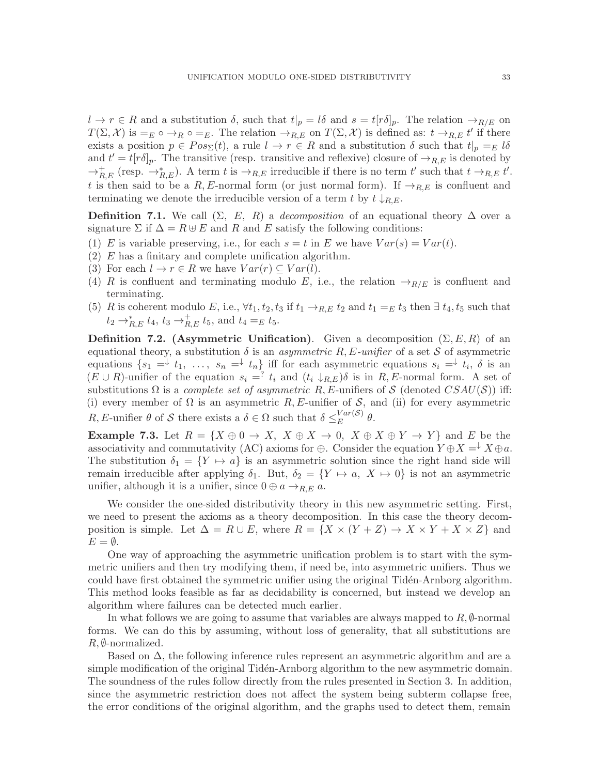$l \to r \in R$  and a substitution  $\delta$ , such that  $t|_p = l\delta$  and  $s = t[r\delta]_p$ . The relation  $\to_{R/E}$  on  $T(\Sigma, \mathcal{X})$  is  $=_E \circ \rightarrow_R \circ =_E$ . The relation  $\rightarrow_{R,E}$  on  $T(\Sigma, \mathcal{X})$  is defined as:  $t \rightarrow_{R,E} t'$  if there exists a position  $p \in Pos_{\Sigma}(t)$ , a rule  $l \to r \in R$  and a substitution  $\delta$  such that  $t|_{p} =_{E} l\delta$ and  $t' = t[r\delta]_p$ . The transitive (resp. transitive and reflexive) closure of  $\rightarrow_{R,E}$  is denoted by  $\rightarrow_{R,E}^+$  (resp.  $\rightarrow_{R,E}^*$ ). A term t is  $\rightarrow_{R,E}$  irreducible if there is no term t' such that  $t \rightarrow_{R,E} t'$ . t is then said to be a R, E-normal form (or just normal form). If  $\rightarrow_{R,E}$  is confluent and terminating we denote the irreducible version of a term t by  $t \downarrow_{R,E}$ .

**Definition 7.1.** We call  $(\Sigma, E, R)$  a *decomposition* of an equational theory  $\Delta$  over a signature  $\Sigma$  if  $\Delta = R \oplus E$  and R and E satisfy the following conditions:

- (1) E is variable preserving, i.e., for each  $s = t$  in E we have  $Var(s) = Var(t)$ .
- (2) E has a finitary and complete unification algorithm.
- (3) For each  $l \to r \in R$  we have  $Var(r) \subseteq Var(l)$ .
- (4) R is confluent and terminating modulo E, i.e., the relation  $\rightarrow_{R/E}$  is confluent and terminating.
- (5) R is coherent modulo E, i.e.,  $\forall t_1, t_2, t_3$  if  $t_1 \rightarrow_{R,E} t_2$  and  $t_1 =_E t_3$  then  $\exists t_4, t_5$  such that  $t_2 \to_{R,E}^* t_4$ ,  $t_3 \to_{R,E}^+ t_5$ , and  $t_4 =_E t_5$ .

**Definition 7.2.** (Asymmetric Unification). Given a decomposition  $(\Sigma, E, R)$  of an equational theory, a substitution  $\delta$  is an *asymmetric R, E-unifier* of a set S of asymmetric equations  $\{s_1 = \downarrow t_1, \ldots, s_n = \downarrow t_n\}$  iff for each asymmetric equations  $s_i = \downarrow t_i$ ,  $\delta$  is an  $(E \cup R)$ -unifier of the equation  $s_i = i_i$  and  $(t_i \downarrow_{R,E})\delta$  is in  $R, E$ -normal form. A set of substitutions  $\Omega$  is a *complete set of asymmetric R, E*-unifiers of S (denoted  $CSAU(S)$ ) iff: (i) every member of  $\Omega$  is an asymmetric R, E-unifier of S, and (ii) for every asymmetric R, E-unifier  $\theta$  of S there exists a  $\delta \in \Omega$  such that  $\delta \leq_K^{\text{Var}(\mathcal{S})}$  $E^{ur(\mathcal{S})}$   $\theta$ .

**Example 7.3.** Let  $R = \{X \oplus 0 \to X, X \oplus X \to 0, X \oplus X \oplus Y \to Y\}$  and E be the associativity and commutativity (AC) axioms for  $\oplus$ . Consider the equation  $Y \oplus X = \downarrow X \oplus a$ . The substitution  $\delta_1 = \{ Y \mapsto a \}$  is an asymmetric solution since the right hand side will remain irreducible after applying  $\delta_1$ . But,  $\delta_2 = \{Y \mapsto a, X \mapsto 0\}$  is not an asymmetric unifier, although it is a unifier, since  $0 \oplus a \rightarrow_{R,E} a$ .

We consider the one-sided distributivity theory in this new asymmetric setting. First, we need to present the axioms as a theory decomposition. In this case the theory decomposition is simple. Let  $\Delta = R \cup E$ , where  $R = \{X \times (Y + Z) \to X \times Y + X \times Z\}$  and  $E = \emptyset$ .

One way of approaching the asymmetric unification problem is to start with the symmetric unifiers and then try modifying them, if need be, into asymmetric unifiers. Thus we could have first obtained the symmetric unifier using the original Tidén-Arnborg algorithm. This method looks feasible as far as decidability is concerned, but instead we develop an algorithm where failures can be detected much earlier.

In what follows we are going to assume that variables are always mapped to  $R$ ,  $\emptyset$ -normal forms. We can do this by assuming, without loss of generality, that all substitutions are  $R, \emptyset$ -normalized.

Based on  $\Delta$ , the following inference rules represent an asymmetric algorithm and are a simple modification of the original Tidén-Arnborg algorithm to the new asymmetric domain. The soundness of the rules follow directly from the rules presented in Section 3. In addition, since the asymmetric restriction does not affect the system being subterm collapse free, the error conditions of the original algorithm, and the graphs used to detect them, remain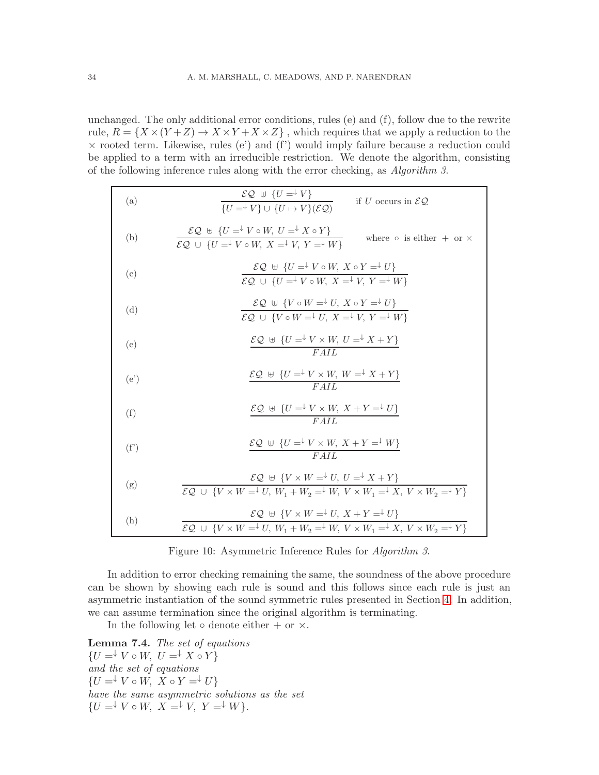unchanged. The only additional error conditions, rules (e) and (f), follow due to the rewrite rule,  $R = \{X \times (Y + Z) \rightarrow X \times Y + X \times Z\}$ , which requires that we apply a reduction to the  $\times$  rooted term. Likewise, rules (e') and (f') would imply failure because a reduction could be applied to a term with an irreducible restriction. We denote the algorithm, consisting of the following inference rules along with the error checking, as Algorithm 3.

| (a)  | $\frac{\mathcal{EQ} \oplus \{U = \n\downarrow V\}}{\{U = \n\downarrow V\} \cup \{U \mapsto V\}(\mathcal{EQ})}$<br>if U occurs in $\mathcal{EQ}$                                                                                                  |
|------|--------------------------------------------------------------------------------------------------------------------------------------------------------------------------------------------------------------------------------------------------|
| (b)  | $\mathcal{EQ} \oplus \{U = \n\begin{matrix} V & \circ & W, \ U & \xrightarrow{\downarrow} & X \circ Y \end{matrix}\}$<br>where $\circ$ is either $+$ or $\times$<br>$\mathcal{EQ}$ $\cup$ $\{U = \vdash V \circ W, X = \vdash V, Y = \vdash W\}$ |
| (c)  | $\mathcal{EQ} \oplus \{U = \vdash V \circ W, X \circ Y = \vdash U\}$<br>$\mathcal{EQ}$ $\cup$ $\{U = \vdash V \circ W, X = \vdash V, Y = \vdash W\}$                                                                                             |
| (d)  | $\mathcal{EQ} \oplus \{V \circ W = V, X \circ Y = V\}$<br>$\overline{\mathcal{EQ}} \cup \{V \circ W = V \cup X = V \cup Y = W\}$                                                                                                                 |
| (e)  | $\mathcal{EQ} \oplus \{U = \vdash V \times W, U = \vdash X + Y\}$<br>FAIL                                                                                                                                                                        |
| (e') | $\frac{\mathcal{EQ} \ \oplus \ \{U = \vdash V \times W, \ W = \vdash X + Y\}}{FAIL}$                                                                                                                                                             |
| (f)  | $\frac{\mathcal{EQ} \oplus \{U = \vdash V \times W, X + Y = \vdash U\}}{FAIL}$                                                                                                                                                                   |
| (f') | $\mathcal{EQ} \ \uplus \ \{U = \vdash V \times W, \ X + Y = \vdash W\}$<br>FAIL                                                                                                                                                                  |
| (g)  | $\mathcal{EQ} \oplus \{V \times W = V \cup U, U = Y \times Y\}$<br>$\mathcal{EQ}$ $\cup$ $\{V \times W = V, W_1 + W_2 = W, V \times W_1 = K, V \times W_2 = V\}$                                                                                 |
| (h)  | $\mathcal{EQ} \oplus \{V \times W = V, X + Y = V\}$<br>$\overline{\mathcal{EQ}} \cup \{V \times W = V \cup W_1 + W_2 = W \cup W_2 \times W_1 = V \times W_2 = V\}$                                                                               |

<span id="page-33-0"></span>Figure 10: Asymmetric Inference Rules for Algorithm 3.

In addition to error checking remaining the same, the soundness of the above procedure can be shown by showing each rule is sound and this follows since each rule is just an asymmetric instantiation of the sound symmetric rules presented in Section [4.](#page-3-0) In addition, we can assume termination since the original algorithm is terminating.

In the following let  $\circ$  denote either  $+$  or  $\times$ .

<span id="page-33-1"></span>Lemma 7.4. The set of equations  $\{U = \n\begin{cases} V \circ W, & U = \n\end{cases} X \circ Y\}$ and the set of equations  $\{U = \vdash V \circ W, \ X \circ Y = \vdash U\}$ have the same asymmetric solutions as the set  $\{U = \vdash V \circ W, \ X = \vdash V, \ Y = \vdash W\}.$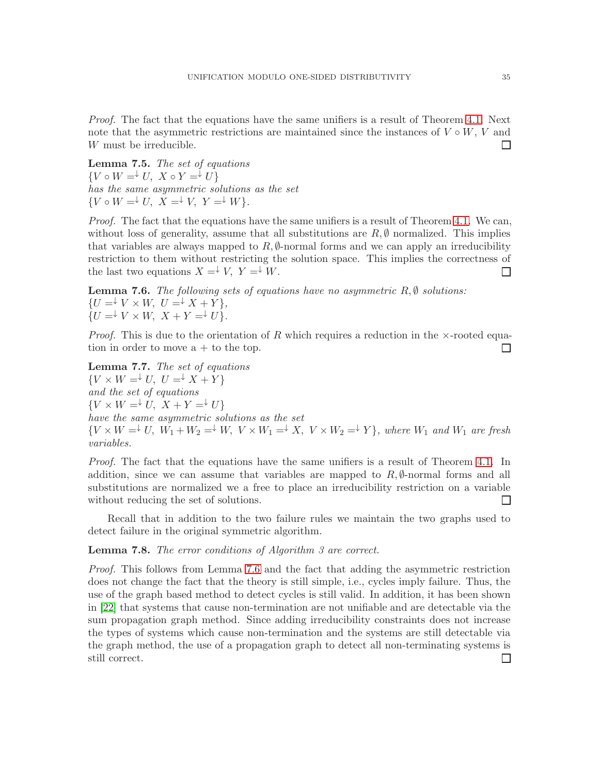Proof. The fact that the equations have the same unifiers is a result of Theorem [4.1.](#page-4-2) Next note that the asymmetric restrictions are maintained since the instances of  $V \circ W$ , V and W must be irreducible.  $\Box$ 

<span id="page-34-2"></span>Lemma 7.5. The set of equations  $\{V \circ W = \vdash U, \ X \circ Y = \vdash U\}$ has the same asymmetric solutions as the set  $\{V \circ W = \vdash U, X = \vdash V, Y = \vdash W\}.$ 

Proof. The fact that the equations have the same unifiers is a result of Theorem [4.1.](#page-4-2) We can, without loss of generality, assume that all substitutions are  $R, \emptyset$  normalized. This implies that variables are always mapped to  $R$ ,  $\emptyset$ -normal forms and we can apply an irreducibility restriction to them without restricting the solution space. This implies the correctness of the last two equations  $X = \overline{Y}$ ,  $Y = \overline{Y}$ .  $\Box$ 

<span id="page-34-0"></span>**Lemma 7.6.** The following sets of equations have no asymmetric  $R, \emptyset$  solutions:  $\{U = \vdash V \times W, \ U = \vdash X + Y\},\$  $\begin{cases} U = V \times W, & X + Y = V. \end{cases}$ 

*Proof.* This is due to the orientation of R which requires a reduction in the  $\times$ -rooted equation in order to move  $a + t$  to the top.  $\Box$ 

<span id="page-34-3"></span>Lemma 7.7. The set of equations  $\{V \times W = \downarrow U, U = \downarrow X + Y\}$ and the set of equations  ${V \times W =^{\downarrow} U, X + Y =^{\downarrow} U}$ have the same asymmetric solutions as the set  ${V \times W =\downarrow U, W_1 + W_2 =\downarrow W, V \times W_1 =\downarrow X, V \times W_2 =\downarrow Y}$ , where  $W_1$  and  $W_1$  are fresh variables.

Proof. The fact that the equations have the same unifiers is a result of Theorem [4.1.](#page-4-2) In addition, since we can assume that variables are mapped to  $R, \emptyset$ -normal forms and all substitutions are normalized we a free to place an irreducibility restriction on a variable without reducing the set of solutions.  $\Box$ 

Recall that in addition to the two failure rules we maintain the two graphs used to detect failure in the original symmetric algorithm.

## <span id="page-34-1"></span>**Lemma 7.8.** The error conditions of Algorithm 3 are correct.

Proof. This follows from Lemma [7.6](#page-34-0) and the fact that adding the asymmetric restriction does not change the fact that the theory is still simple, i.e., cycles imply failure. Thus, the use of the graph based method to detect cycles is still valid. In addition, it has been shown in [\[22\]](#page-38-0) that systems that cause non-termination are not unifiable and are detectable via the sum propagation graph method. Since adding irreducibility constraints does not increase the types of systems which cause non-termination and the systems are still detectable via the graph method, the use of a propagation graph to detect all non-terminating systems is still correct. $\Box$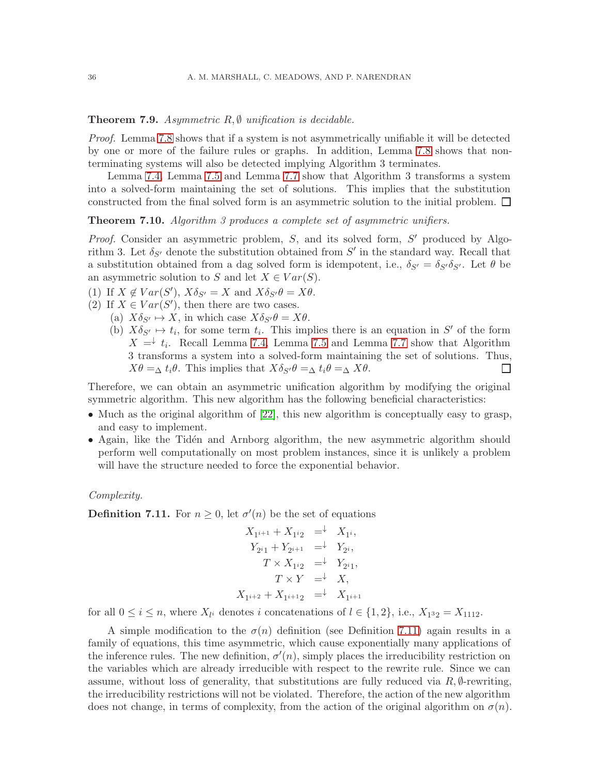## **Theorem 7.9.** Asymmetric  $R, \emptyset$  unification is decidable.

Proof. Lemma [7.8](#page-34-1) shows that if a system is not asymmetrically unifiable it will be detected by one or more of the failure rules or graphs. In addition, Lemma [7.8](#page-34-1) shows that nonterminating systems will also be detected implying Algorithm 3 terminates.

Lemma [7.4,](#page-33-1) Lemma [7.5](#page-34-2) and Lemma [7.7](#page-34-3) show that Algorithm 3 transforms a system into a solved-form maintaining the set of solutions. This implies that the substitution constructed from the final solved form is an asymmetric solution to the initial problem.  $\Box$ 

Theorem 7.10. Algorithm 3 produces a complete set of asymmetric unifiers.

Proof. Consider an asymmetric problem, S, and its solved form, S' produced by Algorithm 3. Let  $\delta_{S'}$  denote the substitution obtained from  $S'$  in the standard way. Recall that a substitution obtained from a dag solved form is idempotent, i.e.,  $\delta_{S'} = \delta_{S'}\delta_{S'}$ . Let  $\theta$  be an asymmetric solution to S and let  $X \in Var(S)$ .

(1) If  $X \notin Var(S')$ ,  $X \delta_{S'} = X$  and  $X \delta_{S'} \theta = X \theta$ .

- (2) If  $X \in Var(S')$ , then there are two cases.
	- (a)  $X\delta_{S'} \mapsto X$ , in which case  $X\delta_{S'}\theta = X\theta$ .
		- (b)  $X\delta_{S'} \mapsto t_i$ , for some term  $t_i$ . This implies there is an equation in S' of the form  $X = \downarrow t_i$ . Recall Lemma [7.4,](#page-33-1) Lemma [7.5](#page-34-2) and Lemma [7.7](#page-34-3) show that Algorithm 3 transforms a system into a solved-form maintaining the set of solutions. Thus,  $X\theta = \Delta t_i\theta$ . This implies that  $X\delta_{S'}\theta = \Delta t_i\theta = \Delta X\theta$ . ⊔

Therefore, we can obtain an asymmetric unification algorithm by modifying the original symmetric algorithm. This new algorithm has the following beneficial characteristics:

- Much as the original algorithm of [\[22\]](#page-38-0), this new algorithm is conceptually easy to grasp, and easy to implement.
- Again, like the Tidén and Arnborg algorithm, the new asymmetric algorithm should perform well computationally on most problem instances, since it is unlikely a problem will have the structure needed to force the exponential behavior.

#### Complexity.

<span id="page-35-0"></span>**Definition 7.11.** For  $n \geq 0$ , let  $\sigma'(n)$  be the set of equations

$$
X_{1^{i+1}} + X_{1^{i}2} = \n\begin{cases} \n\downarrow X_{1^{i}}, \\
\downarrow Y_{2^{i}} + Y_{2^{i+1}} = \n\end{cases} \quad\n\begin{cases} \nY_{2^{i}}, \\
\downarrow Y_{2^{i}}, \\
\downarrow Y_{2^{i}} \n\end{cases}
$$
\n
$$
T \times Y = \n\begin{cases} \n\downarrow Y_{2^{i}} \\
\downarrow X_{1^{i+2}} + X_{1^{i+1}2} = \n\end{cases} \quad\nX_{1^{i+1}}
$$

for all  $0 \le i \le n$ , where  $X_{l}$  denotes i concatenations of  $l \in \{1, 2\}$ , i.e.,  $X_{1^3 2} = X_{1112}$ .

A simple modification to the  $\sigma(n)$  definition (see Definition [7.11\)](#page-35-0) again results in a family of equations, this time asymmetric, which cause exponentially many applications of the inference rules. The new definition,  $\sigma'(n)$ , simply places the irreducibility restriction on the variables which are already irreducible with respect to the rewrite rule. Since we can assume, without loss of generality, that substitutions are fully reduced via  $R, \emptyset$ -rewriting, the irreducibility restrictions will not be violated. Therefore, the action of the new algorithm does not change, in terms of complexity, from the action of the original algorithm on  $\sigma(n)$ .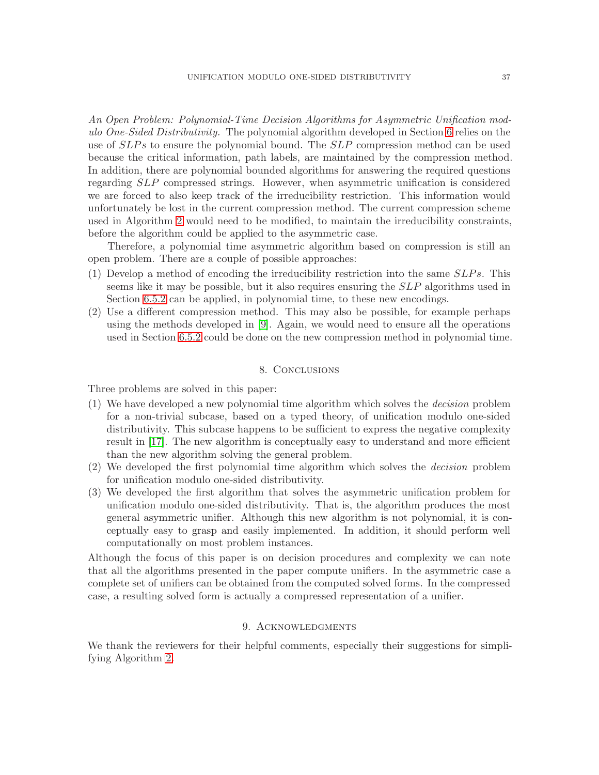An Open Problem: Polynomial-Time Decision Algorithms for Asymmetric Unification modulo One-Sided Distributivity. The polynomial algorithm developed in Section [6](#page-13-0) relies on the use of  $SLPs$  to ensure the polynomial bound. The  $SLP$  compression method can be used because the critical information, path labels, are maintained by the compression method. In addition, there are polynomial bounded algorithms for answering the required questions regarding SLP compressed strings. However, when asymmetric unification is considered we are forced to also keep track of the irreducibility restriction. This information would unfortunately be lost in the current compression method. The current compression scheme used in Algorithm [2](#page-20-0) would need to be modified, to maintain the irreducibility constraints, before the algorithm could be applied to the asymmetric case.

Therefore, a polynomial time asymmetric algorithm based on compression is still an open problem. There are a couple of possible approaches:

- (1) Develop a method of encoding the irreducibility restriction into the same  $SLPs$ . This seems like it may be possible, but it also requires ensuring the SLP algorithms used in Section [6.5.2](#page-22-0) can be applied, in polynomial time, to these new encodings.
- (2) Use a different compression method. This may also be possible, for example perhaps using the methods developed in [\[9\]](#page-37-3). Again, we would need to ensure all the operations used in Section [6.5.2](#page-22-0) could be done on the new compression method in polynomial time.

## 8. Conclusions

Three problems are solved in this paper:

- (1) We have developed a new polynomial time algorithm which solves the decision problem for a non-trivial subcase, based on a typed theory, of unification modulo one-sided distributivity. This subcase happens to be sufficient to express the negative complexity result in [\[17\]](#page-37-1). The new algorithm is conceptually easy to understand and more efficient than the new algorithm solving the general problem.
- (2) We developed the first polynomial time algorithm which solves the decision problem for unification modulo one-sided distributivity.
- (3) We developed the first algorithm that solves the asymmetric unification problem for unification modulo one-sided distributivity. That is, the algorithm produces the most general asymmetric unifier. Although this new algorithm is not polynomial, it is conceptually easy to grasp and easily implemented. In addition, it should perform well computationally on most problem instances.

Although the focus of this paper is on decision procedures and complexity we can note that all the algorithms presented in the paper compute unifiers. In the asymmetric case a complete set of unifiers can be obtained from the computed solved forms. In the compressed case, a resulting solved form is actually a compressed representation of a unifier.

# 9. ACKNOWLEDGMENTS

We thank the reviewers for their helpful comments, especially their suggestions for simplifying Algorithm [2.](#page-20-0)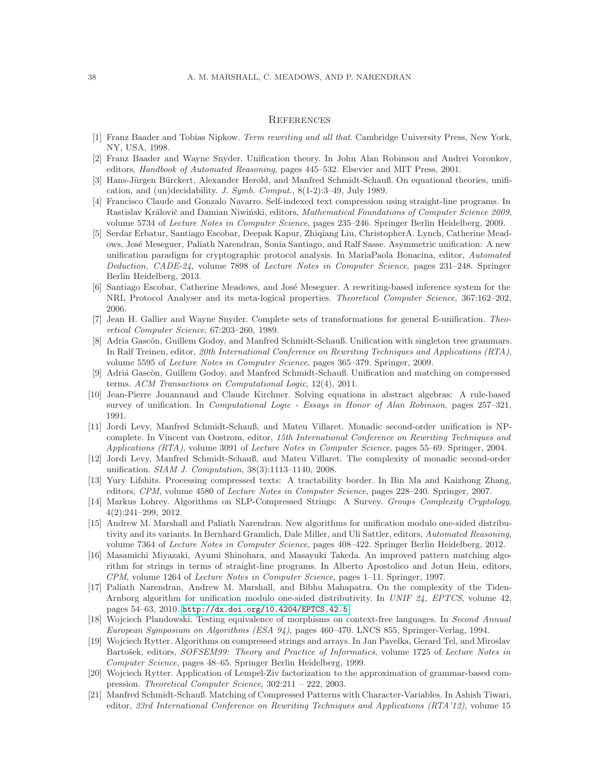#### **REFERENCES**

- <span id="page-37-7"></span><span id="page-37-6"></span>[1] Franz Baader and Tobias Nipkow. *Term rewriting and all that*. Cambridge University Press, New York, NY, USA, 1998.
- <span id="page-37-9"></span>[2] Franz Baader and Wayne Snyder. Unification theory. In John Alan Robinson and Andrei Voronkov, editors, *Handbook of Automated Reasoning*, pages 445–532. Elsevier and MIT Press, 2001.
- [3] Hans-Jürgen Bürckert, Alexander Herold, and Manfred Schmidt-Schauß. On equational theories, unification, and (un)decidability. *J. Symb. Comput.*, 8(1-2):3–49, July 1989.
- <span id="page-37-13"></span>[4] Francisco Claude and Gonzalo Navarro. Self-indexed text compression using straight-line programs. In Rastislav Královič and Damian Niwiński, editors, *Mathematical Foundations of Computer Science 2009*, volume 5734 of *Lecture Notes in Computer Science*, pages 235–246. Springer Berlin Heidelberg, 2009.
- <span id="page-37-5"></span>[5] Serdar Erbatur, Santiago Escobar, Deepak Kapur, Zhiqiang Liu, ChristopherA. Lynch, Catherine Meadows, Jos´e Meseguer, Paliath Narendran, Sonia Santiago, and Ralf Sasse. Asymmetric unification: A new unification paradigm for cryptographic protocol analysis. In MariaPaola Bonacina, editor, *Automated Deduction, CADE-24*, volume 7898 of *Lecture Notes in Computer Science*, pages 231–248. Springer Berlin Heidelberg, 2013.
- <span id="page-37-0"></span>[6] Santiago Escobar, Catherine Meadows, and José Meseguer. A rewriting-based inference system for the NRL Protocol Analyser and its meta-logical properties. *Theoretical Computer Science*, 367:162–202, 2006.
- <span id="page-37-20"></span>[7] Jean H. Gallier and Wayne Snyder. Complete sets of transformations for general E-unification. *Theoretical Computer Science*, 67:203–260, 1989.
- <span id="page-37-18"></span>[8] Adria Gascón, Guillem Godoy, and Manfred Schmidt-Schauß. Unification with singleton tree grammars. In Ralf Treinen, editor, *20th International Conference on Rewriting Techniques and Applications (RTA)*, volume 5595 of *Lecture Notes in Computer Science*, pages 365–379. Springer, 2009.
- <span id="page-37-3"></span>[9] Adriá Gascòn, Guillem Godoy, and Manfred Schmidt-Schauß. Unification and matching on compressed terms. *ACM Transactions on Computational Logic*, 12(4), 2011.
- <span id="page-37-8"></span>[10] Jean-Pierre Jouannaud and Claude Kirchner. Solving equations in abstract algebras: A rule-based survey of unification. In *Computational Logic - Essays in Honor of Alan Robinson*, pages 257–321, 1991.
- <span id="page-37-10"></span>[11] Jordi Levy, Manfred Schmidt-Schauß, and Mateu Villaret. Monadic second-order unification is NPcomplete. In Vincent van Oostrom, editor, *15th International Conference on Rewriting Techniques and Applications (RTA)*, volume 3091 of *Lecture Notes in Computer Science*, pages 55–69. Springer, 2004.
- <span id="page-37-4"></span>[12] Jordi Levy, Manfred Schmidt-Schauß, and Mateu Villaret. The complexity of monadic second-order unification. *SIAM J. Computation*, 38(3):1113–1140, 2008.
- <span id="page-37-14"></span>[13] Yury Lifshits. Processing compressed texts: A tractability border. In Bin Ma and Kaizhong Zhang, editors, *CPM*, volume 4580 of *Lecture Notes in Computer Science*, pages 228–240. Springer, 2007.
- <span id="page-37-11"></span>[14] Markus Lohrey. Algorithms on SLP-Compressed Strings: A Survey. *Groups Complexity Cryptology*, 4(2):241–299, 2012.
- <span id="page-37-2"></span>[15] Andrew M. Marshall and Paliath Narendran. New algorithms for unification modulo one-sided distributivity and its variants. In Bernhard Gramlich, Dale Miller, and Uli Sattler, editors, *Automated Reasoning*, volume 7364 of *Lecture Notes in Computer Science*, pages 408–422. Springer Berlin Heidelberg, 2012.
- <span id="page-37-15"></span>[16] Masamichi Miyazaki, Ayumi Shinohara, and Masayuki Takeda. An improved pattern matching algorithm for strings in terms of straight-line programs. In Alberto Apostolico and Jotun Hein, editors, *CPM*, volume 1264 of *Lecture Notes in Computer Science*, pages 1–11. Springer, 1997.
- <span id="page-37-1"></span>[17] Paliath Narendran, Andrew M. Marshall, and Bibhu Mahapatra. On the complexity of the Tiden-Arnborg algorithm for unification modulo one-sided distributivity. In *UNIF 24, EPTCS*, volume 42, pages 54–63, 2010. <http://dx.doi.org/10.4204/EPTCS.42.5>.
- <span id="page-37-17"></span>[18] Wojciech Plandowski. Testing equivalence of morphisms on context-free languages. In *Second Annual European Symposium on Algorithms (ESA 94)*, pages 460–470. LNCS 855, Springer-Verlag, 1994.
- <span id="page-37-12"></span>[19] Wojciech Rytter. Algorithms on compressed strings and arrays. In Jan Pavelka, Gerard Tel, and Miroslav Bartošek, editors, *SOFSEM99:* Theory and Practice of Informatics, volume 1725 of Lecture Notes in *Computer Science*, pages 48–65. Springer Berlin Heidelberg, 1999.
- <span id="page-37-16"></span>[20] Wojciech Rytter. Application of Lempel-Ziv factorization to the approximation of grammar-based compression. *Theoretical Computer Science*, 302:211 – 222, 2003.
- <span id="page-37-19"></span>[21] Manfred Schmidt-Schauß. Matching of Compressed Patterns with Character-Variables. In Ashish Tiwari, editor, *23rd International Conference on Rewriting Techniques and Applications (RTA'12)*, volume 15